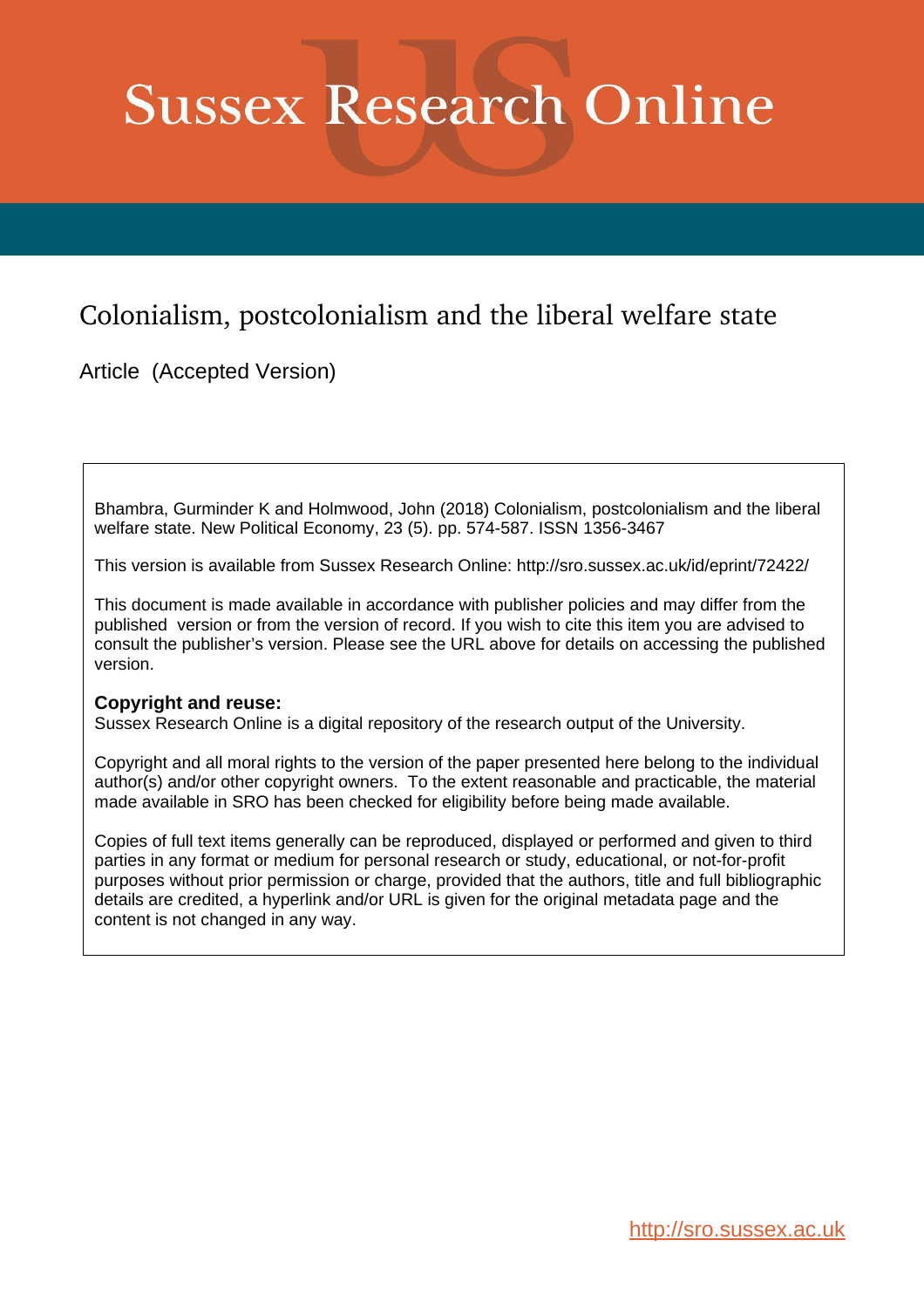# **Sussex Research Online**

# Colonialism, postcolonialism and the liberal welfare state

Article (Accepted Version)

Bhambra, Gurminder K and Holmwood, John (2018) Colonialism, postcolonialism and the liberal welfare state. New Political Economy, 23 (5). pp. 574-587. ISSN 1356-3467

This version is available from Sussex Research Online: http://sro.sussex.ac.uk/id/eprint/72422/

This document is made available in accordance with publisher policies and may differ from the published version or from the version of record. If you wish to cite this item you are advised to consult the publisher's version. Please see the URL above for details on accessing the published version.

# **Copyright and reuse:**

Sussex Research Online is a digital repository of the research output of the University.

Copyright and all moral rights to the version of the paper presented here belong to the individual author(s) and/or other copyright owners. To the extent reasonable and practicable, the material made available in SRO has been checked for eligibility before being made available.

Copies of full text items generally can be reproduced, displayed or performed and given to third parties in any format or medium for personal research or study, educational, or not-for-profit purposes without prior permission or charge, provided that the authors, title and full bibliographic details are credited, a hyperlink and/or URL is given for the original metadata page and the content is not changed in any way.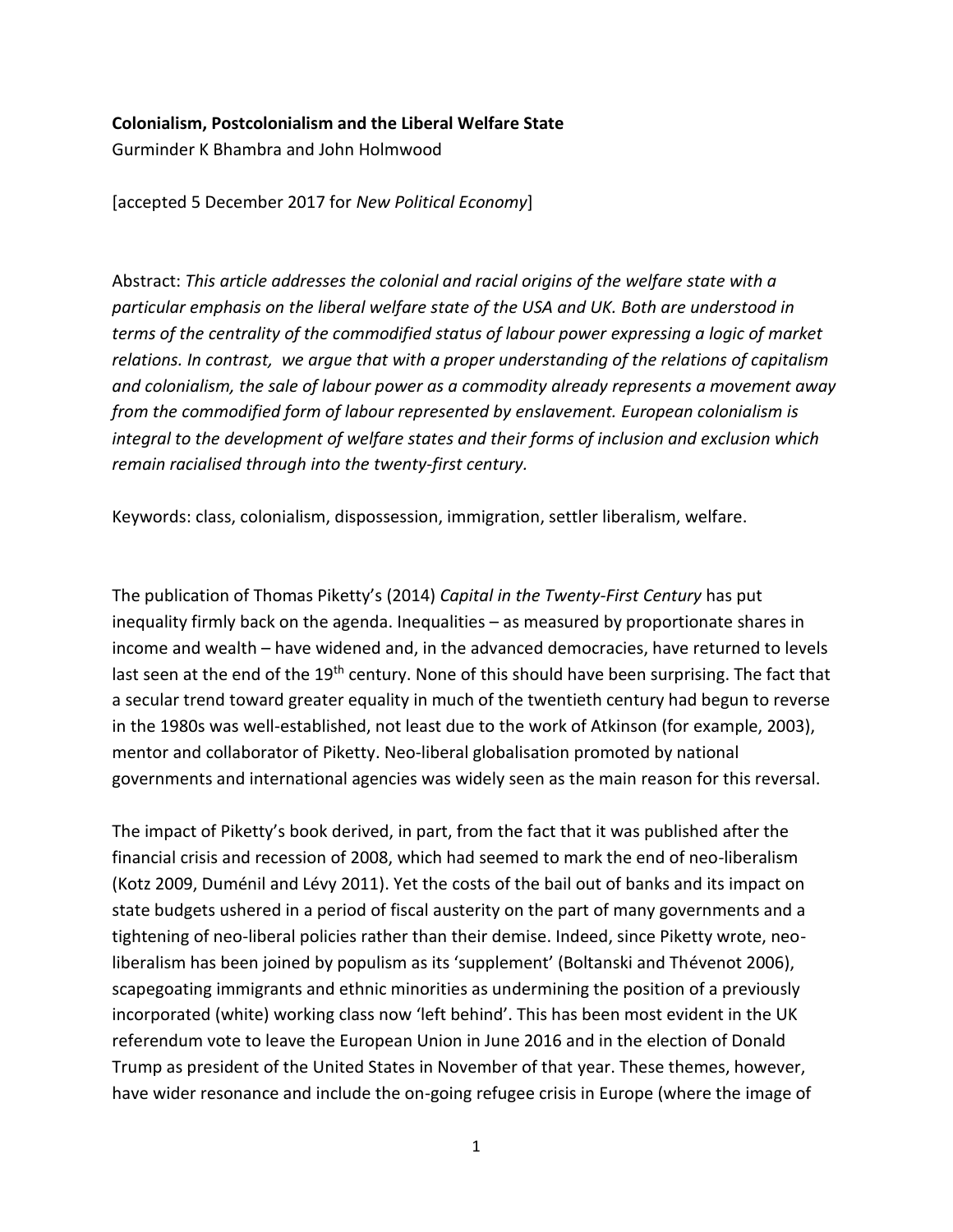#### **Colonialism, Postcolonialism and the Liberal Welfare State**

Gurminder K Bhambra and John Holmwood

[accepted 5 December 2017 for *New Political Economy*]

Abstract: *This article addresses the colonial and racial origins of the welfare state with a particular emphasis on the liberal welfare state of the USA and UK. Both are understood in terms of the centrality of the commodified status of labour power expressing a logic of market relations. In contrast, we argue that with a proper understanding of the relations of capitalism and colonialism, the sale of labour power as a commodity already represents a movement away from the commodified form of labour represented by enslavement. European colonialism is integral to the development of welfare states and their forms of inclusion and exclusion which remain racialised through into the twenty-first century.* 

Keywords: class, colonialism, dispossession, immigration, settler liberalism, welfare.

The publication of Thomas Piketty's (2014) *Capital in the Twenty-First Century* has put inequality firmly back on the agenda. Inequalities – as measured by proportionate shares in income and wealth – have widened and, in the advanced democracies, have returned to levels last seen at the end of the 19<sup>th</sup> century. None of this should have been surprising. The fact that a secular trend toward greater equality in much of the twentieth century had begun to reverse in the 1980s was well-established, not least due to the work of Atkinson (for example, 2003), mentor and collaborator of Piketty. Neo-liberal globalisation promoted by national governments and international agencies was widely seen as the main reason for this reversal.

The impact of Piketty's book derived, in part, from the fact that it was published after the financial crisis and recession of 2008, which had seemed to mark the end of neo-liberalism (Kotz 2009, Duménil and Lévy 2011). Yet the costs of the bail out of banks and its impact on state budgets ushered in a period of fiscal austerity on the part of many governments and a tightening of neo-liberal policies rather than their demise. Indeed, since Piketty wrote, neoliberalism has been joined by populism as its 'supplement' (Boltanski and Thévenot 2006), scapegoating immigrants and ethnic minorities as undermining the position of a previously incorporated (white) working class now 'left behind'. This has been most evident in the UK referendum vote to leave the European Union in June 2016 and in the election of Donald Trump as president of the United States in November of that year. These themes, however, have wider resonance and include the on-going refugee crisis in Europe (where the image of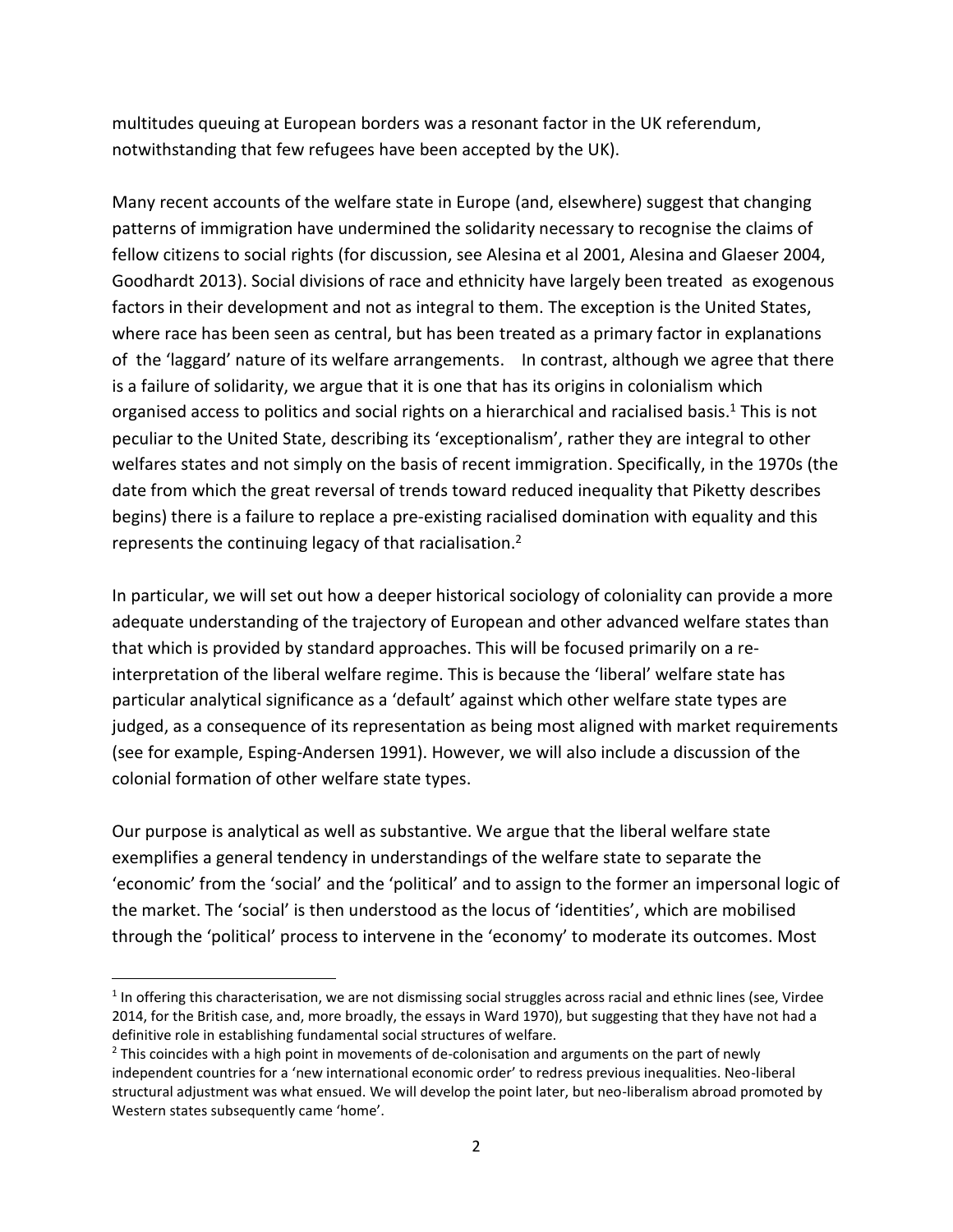multitudes queuing at European borders was a resonant factor in the UK referendum, notwithstanding that few refugees have been accepted by the UK).

Many recent accounts of the welfare state in Europe (and, elsewhere) suggest that changing patterns of immigration have undermined the solidarity necessary to recognise the claims of fellow citizens to social rights (for discussion, see Alesina et al 2001, Alesina and Glaeser 2004, Goodhardt 2013). Social divisions of race and ethnicity have largely been treated as exogenous factors in their development and not as integral to them. The exception is the United States, where race has been seen as central, but has been treated as a primary factor in explanations of the 'laggard' nature of its welfare arrangements. In contrast, although we agree that there is a failure of solidarity, we argue that it is one that has its origins in colonialism which organised access to politics and social rights on a hierarchical and racialised basis.<sup>1</sup> This is not peculiar to the United State, describing its 'exceptionalism', rather they are integral to other welfares states and not simply on the basis of recent immigration. Specifically, in the 1970s (the date from which the great reversal of trends toward reduced inequality that Piketty describes begins) there is a failure to replace a pre-existing racialised domination with equality and this represents the continuing legacy of that racialisation.<sup>2</sup>

In particular, we will set out how a deeper historical sociology of coloniality can provide a more adequate understanding of the trajectory of European and other advanced welfare states than that which is provided by standard approaches. This will be focused primarily on a reinterpretation of the liberal welfare regime. This is because the 'liberal' welfare state has particular analytical significance as a 'default' against which other welfare state types are judged, as a consequence of its representation as being most aligned with market requirements (see for example, Esping-Andersen 1991). However, we will also include a discussion of the colonial formation of other welfare state types.

Our purpose is analytical as well as substantive. We argue that the liberal welfare state exemplifies a general tendency in understandings of the welfare state to separate the 'economic' from the 'social' and the 'political' and to assign to the former an impersonal logic of the market. The 'social' is then understood as the locus of 'identities', which are mobilised through the 'political' process to intervene in the 'economy' to moderate its outcomes. Most

 $\overline{\phantom{a}}$ 

 $<sup>1</sup>$  In offering this characterisation, we are not dismissing social struggles across racial and ethnic lines (see, Virdee</sup> 2014, for the British case, and, more broadly, the essays in Ward 1970), but suggesting that they have not had a definitive role in establishing fundamental social structures of welfare.

 $<sup>2</sup>$  This coincides with a high point in movements of de-colonisation and arguments on the part of newly</sup> independent countries for a 'new international economic order' to redress previous inequalities. Neo-liberal structural adjustment was what ensued. We will develop the point later, but neo-liberalism abroad promoted by Western states subsequently came 'home'.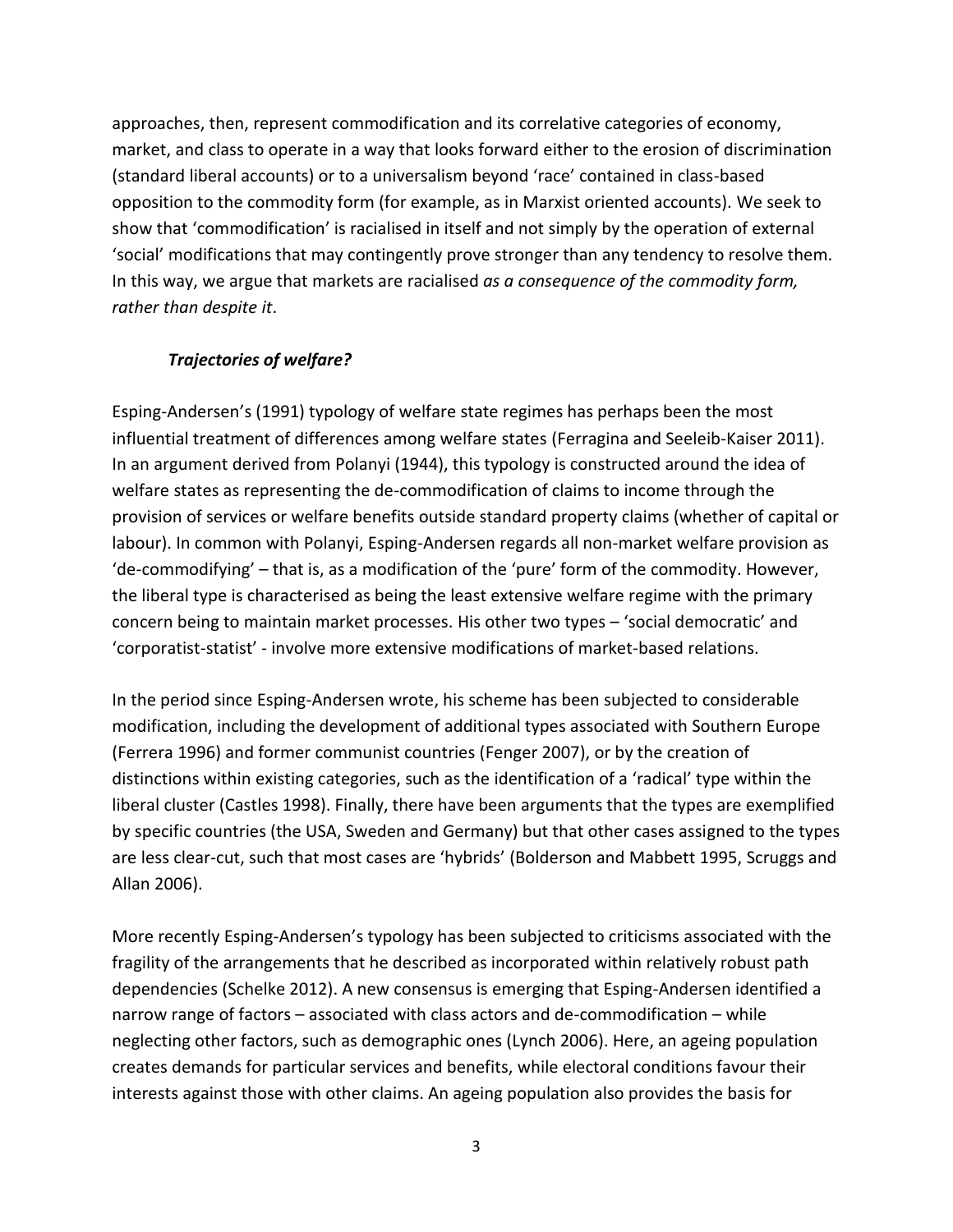approaches, then, represent commodification and its correlative categories of economy, market, and class to operate in a way that looks forward either to the erosion of discrimination (standard liberal accounts) or to a universalism beyond 'race' contained in class-based opposition to the commodity form (for example, as in Marxist oriented accounts). We seek to show that 'commodification' is racialised in itself and not simply by the operation of external 'social' modifications that may contingently prove stronger than any tendency to resolve them. In this way, we argue that markets are racialised *as a consequence of the commodity form, rather than despite it*.

# *Trajectories of welfare?*

Esping-Andersen's (1991) typology of welfare state regimes has perhaps been the most influential treatment of differences among welfare states (Ferragina and Seeleib-Kaiser 2011). In an argument derived from Polanyi (1944), this typology is constructed around the idea of welfare states as representing the de-commodification of claims to income through the provision of services or welfare benefits outside standard property claims (whether of capital or labour). In common with Polanyi, Esping-Andersen regards all non-market welfare provision as 'de-commodifying' – that is, as a modification of the 'pure' form of the commodity. However, the liberal type is characterised as being the least extensive welfare regime with the primary concern being to maintain market processes. His other two types – 'social democratic' and 'corporatist-statist' - involve more extensive modifications of market-based relations.

In the period since Esping-Andersen wrote, his scheme has been subjected to considerable modification, including the development of additional types associated with Southern Europe (Ferrera 1996) and former communist countries (Fenger 2007), or by the creation of distinctions within existing categories, such as the identification of a 'radical' type within the liberal cluster (Castles 1998). Finally, there have been arguments that the types are exemplified by specific countries (the USA, Sweden and Germany) but that other cases assigned to the types are less clear-cut, such that most cases are 'hybrids' (Bolderson and Mabbett 1995, Scruggs and Allan 2006).

More recently Esping-Andersen's typology has been subjected to criticisms associated with the fragility of the arrangements that he described as incorporated within relatively robust path dependencies (Schelke 2012). A new consensus is emerging that Esping-Andersen identified a narrow range of factors – associated with class actors and de-commodification – while neglecting other factors, such as demographic ones (Lynch 2006). Here, an ageing population creates demands for particular services and benefits, while electoral conditions favour their interests against those with other claims. An ageing population also provides the basis for

<sup>3</sup>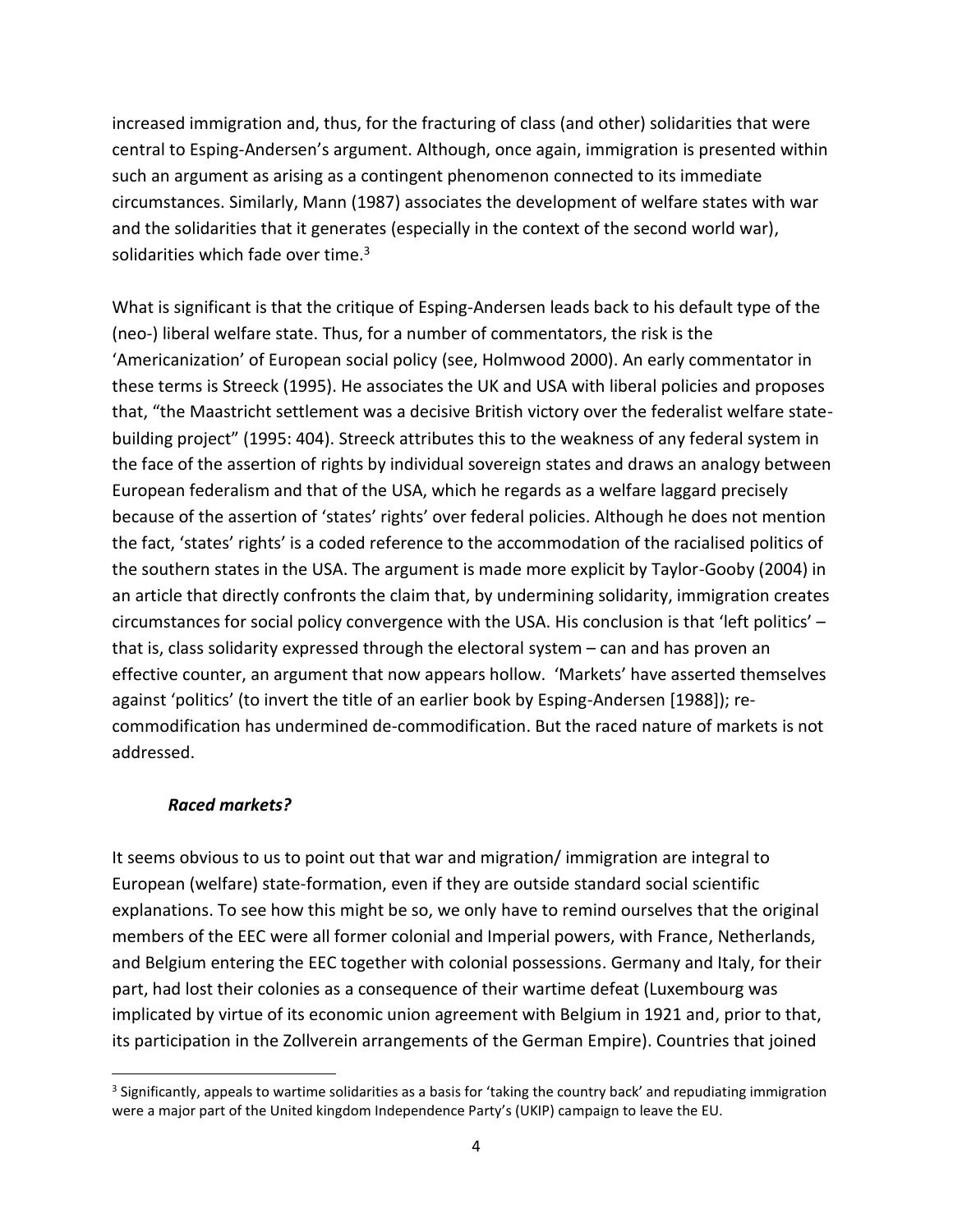increased immigration and, thus, for the fracturing of class (and other) solidarities that were central to Esping-Andersen's argument. Although, once again, immigration is presented within such an argument as arising as a contingent phenomenon connected to its immediate circumstances. Similarly, Mann (1987) associates the development of welfare states with war and the solidarities that it generates (especially in the context of the second world war), solidarities which fade over time. $3$ 

What is significant is that the critique of Esping-Andersen leads back to his default type of the (neo-) liberal welfare state. Thus, for a number of commentators, the risk is the 'Americanization' of European social policy (see, Holmwood 2000). An early commentator in these terms is Streeck (1995). He associates the UK and USA with liberal policies and proposes that, "the Maastricht settlement was a decisive British victory over the federalist welfare statebuilding project" (1995: 404). Streeck attributes this to the weakness of any federal system in the face of the assertion of rights by individual sovereign states and draws an analogy between European federalism and that of the USA, which he regards as a welfare laggard precisely because of the assertion of 'states' rights' over federal policies. Although he does not mention the fact, 'states' rights' is a coded reference to the accommodation of the racialised politics of the southern states in the USA. The argument is made more explicit by Taylor-Gooby (2004) in an article that directly confronts the claim that, by undermining solidarity, immigration creates circumstances for social policy convergence with the USA. His conclusion is that 'left politics' – that is, class solidarity expressed through the electoral system – can and has proven an effective counter, an argument that now appears hollow. 'Markets' have asserted themselves against 'politics' (to invert the title of an earlier book by Esping-Andersen [1988]); recommodification has undermined de-commodification. But the raced nature of markets is not addressed.

# *Raced markets?*

 $\overline{\phantom{a}}$ 

It seems obvious to us to point out that war and migration/ immigration are integral to European (welfare) state-formation, even if they are outside standard social scientific explanations. To see how this might be so, we only have to remind ourselves that the original members of the EEC were all former colonial and Imperial powers, with France, Netherlands, and Belgium entering the EEC together with colonial possessions. Germany and Italy, for their part, had lost their colonies as a consequence of their wartime defeat (Luxembourg was implicated by virtue of its economic union agreement with Belgium in 1921 and, prior to that, its participation in the Zollverein arrangements of the German Empire). Countries that joined

 $3$  Significantly, appeals to wartime solidarities as a basis for 'taking the country back' and repudiating immigration were a major part of the United kingdom Independence Party's (UKIP) campaign to leave the EU.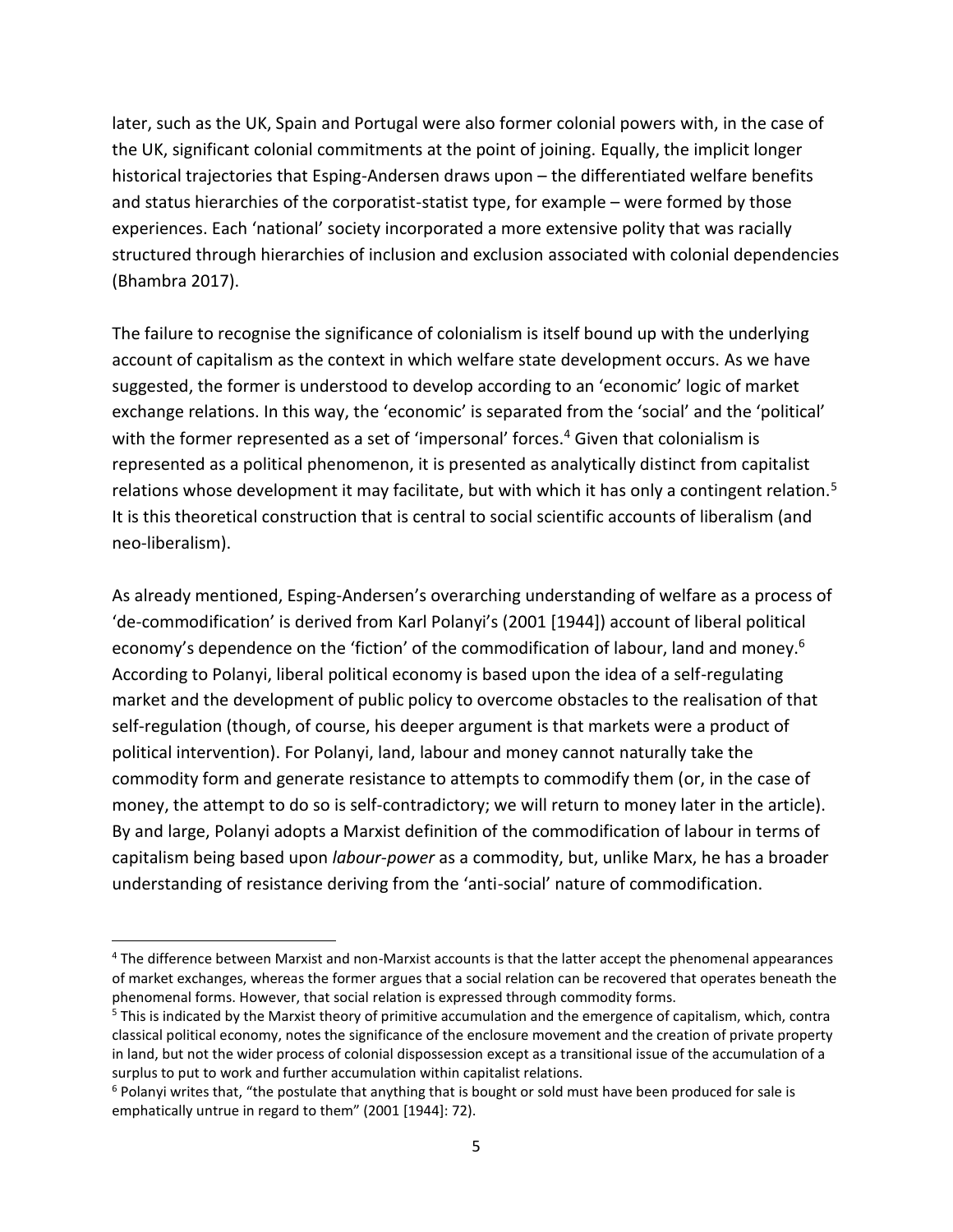later, such as the UK, Spain and Portugal were also former colonial powers with, in the case of the UK, significant colonial commitments at the point of joining. Equally, the implicit longer historical trajectories that Esping-Andersen draws upon – the differentiated welfare benefits and status hierarchies of the corporatist-statist type, for example – were formed by those experiences. Each 'national' society incorporated a more extensive polity that was racially structured through hierarchies of inclusion and exclusion associated with colonial dependencies (Bhambra 2017).

The failure to recognise the significance of colonialism is itself bound up with the underlying account of capitalism as the context in which welfare state development occurs. As we have suggested, the former is understood to develop according to an 'economic' logic of market exchange relations. In this way, the 'economic' is separated from the 'social' and the 'political' with the former represented as a set of 'impersonal' forces.<sup>4</sup> Given that colonialism is represented as a political phenomenon, it is presented as analytically distinct from capitalist relations whose development it may facilitate, but with which it has only a contingent relation.<sup>5</sup> It is this theoretical construction that is central to social scientific accounts of liberalism (and neo-liberalism).

As already mentioned, Esping-Andersen's overarching understanding of welfare as a process of 'de-commodification' is derived from Karl Polanyi's (2001 [1944]) account of liberal political economy's dependence on the 'fiction' of the commodification of labour, land and money.<sup>6</sup> According to Polanyi, liberal political economy is based upon the idea of a self-regulating market and the development of public policy to overcome obstacles to the realisation of that self-regulation (though, of course, his deeper argument is that markets were a product of political intervention). For Polanyi, land, labour and money cannot naturally take the commodity form and generate resistance to attempts to commodify them (or, in the case of money, the attempt to do so is self-contradictory; we will return to money later in the article). By and large, Polanyi adopts a Marxist definition of the commodification of labour in terms of capitalism being based upon *labour-power* as a commodity, but, unlike Marx, he has a broader understanding of resistance deriving from the 'anti-social' nature of commodification.

 $\overline{\phantom{a}}$ 

<sup>4</sup> The difference between Marxist and non-Marxist accounts is that the latter accept the phenomenal appearances of market exchanges, whereas the former argues that a social relation can be recovered that operates beneath the phenomenal forms. However, that social relation is expressed through commodity forms.

<sup>5</sup> This is indicated by the Marxist theory of primitive accumulation and the emergence of capitalism, which, contra classical political economy, notes the significance of the enclosure movement and the creation of private property in land, but not the wider process of colonial dispossession except as a transitional issue of the accumulation of a surplus to put to work and further accumulation within capitalist relations.

 $6$  Polanyi writes that, "the postulate that anything that is bought or sold must have been produced for sale is emphatically untrue in regard to them" (2001 [1944]: 72).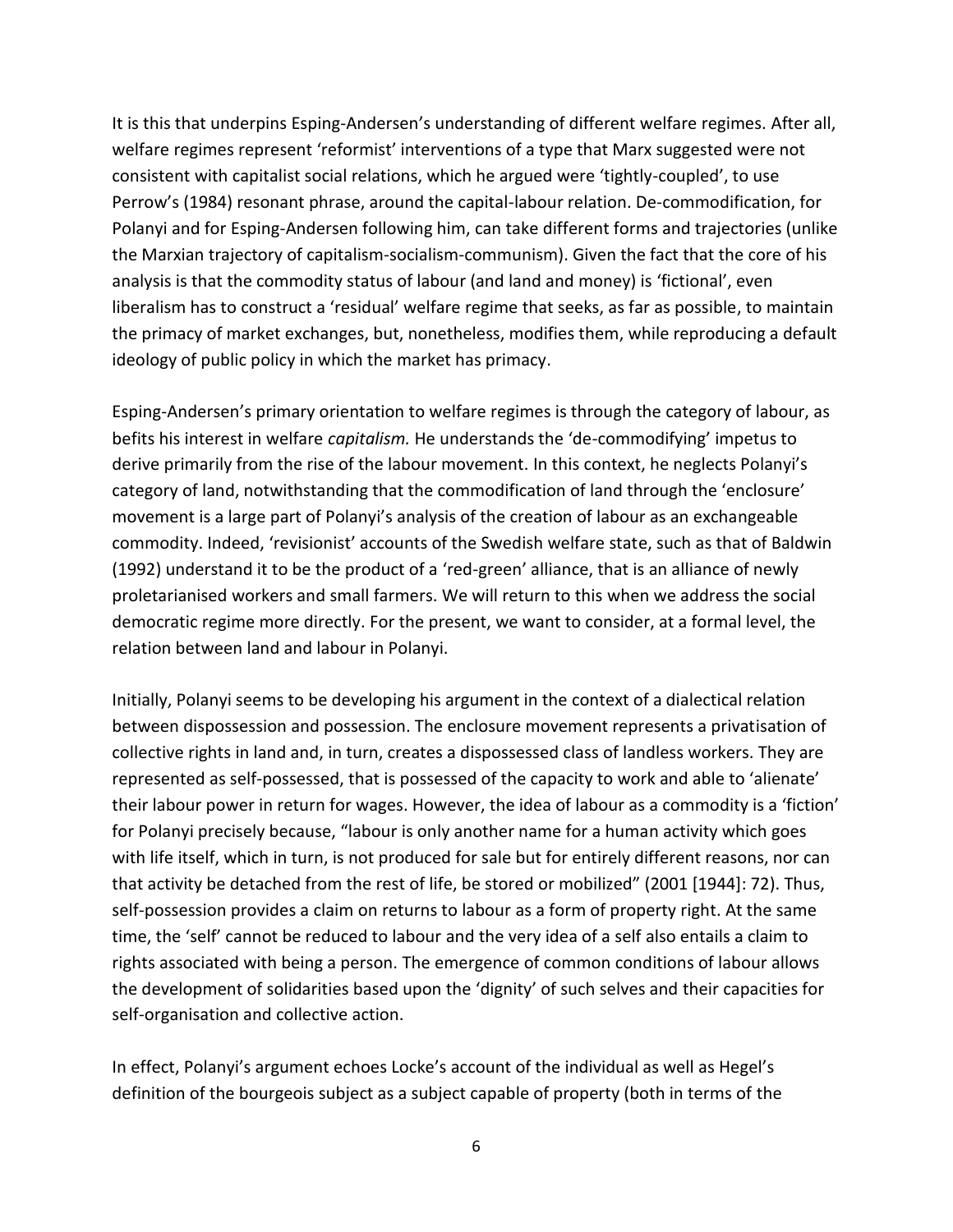It is this that underpins Esping-Andersen's understanding of different welfare regimes. After all, welfare regimes represent 'reformist' interventions of a type that Marx suggested were not consistent with capitalist social relations, which he argued were 'tightly-coupled', to use Perrow's (1984) resonant phrase, around the capital-labour relation. De-commodification, for Polanyi and for Esping-Andersen following him, can take different forms and trajectories (unlike the Marxian trajectory of capitalism-socialism-communism). Given the fact that the core of his analysis is that the commodity status of labour (and land and money) is 'fictional', even liberalism has to construct a 'residual' welfare regime that seeks, as far as possible, to maintain the primacy of market exchanges, but, nonetheless, modifies them, while reproducing a default ideology of public policy in which the market has primacy.

Esping-Andersen's primary orientation to welfare regimes is through the category of labour, as befits his interest in welfare *capitalism.* He understands the 'de-commodifying' impetus to derive primarily from the rise of the labour movement. In this context, he neglects Polanyi's category of land, notwithstanding that the commodification of land through the 'enclosure' movement is a large part of Polanyi's analysis of the creation of labour as an exchangeable commodity. Indeed, 'revisionist' accounts of the Swedish welfare state, such as that of Baldwin (1992) understand it to be the product of a 'red-green' alliance, that is an alliance of newly proletarianised workers and small farmers. We will return to this when we address the social democratic regime more directly. For the present, we want to consider, at a formal level, the relation between land and labour in Polanyi.

Initially, Polanyi seems to be developing his argument in the context of a dialectical relation between dispossession and possession. The enclosure movement represents a privatisation of collective rights in land and, in turn, creates a dispossessed class of landless workers. They are represented as self-possessed, that is possessed of the capacity to work and able to 'alienate' their labour power in return for wages. However, the idea of labour as a commodity is a 'fiction' for Polanyi precisely because, "labour is only another name for a human activity which goes with life itself, which in turn, is not produced for sale but for entirely different reasons, nor can that activity be detached from the rest of life, be stored or mobilized" (2001 [1944]: 72). Thus, self-possession provides a claim on returns to labour as a form of property right. At the same time, the 'self' cannot be reduced to labour and the very idea of a self also entails a claim to rights associated with being a person. The emergence of common conditions of labour allows the development of solidarities based upon the 'dignity' of such selves and their capacities for self-organisation and collective action.

In effect, Polanyi's argument echoes Locke's account of the individual as well as Hegel's definition of the bourgeois subject as a subject capable of property (both in terms of the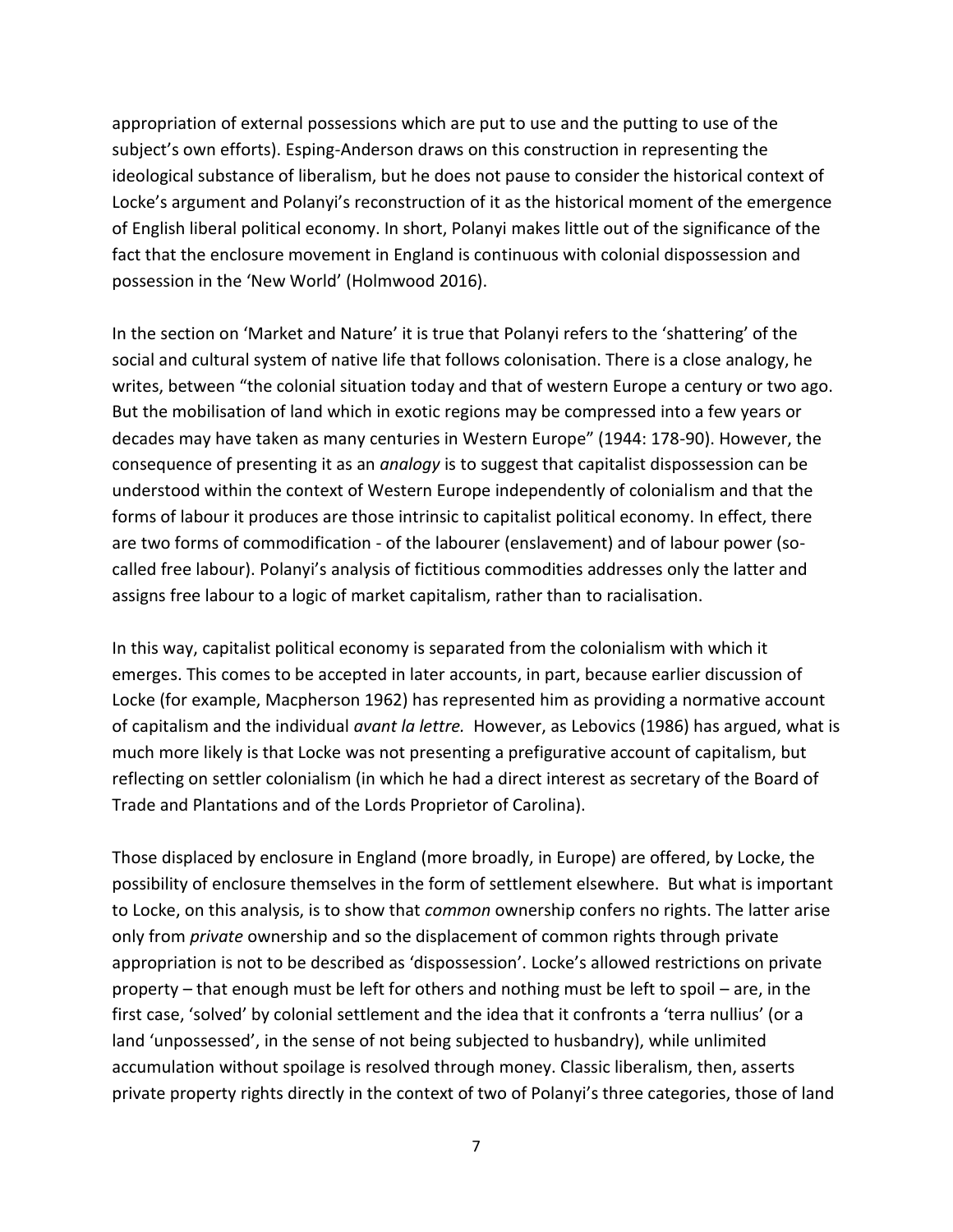appropriation of external possessions which are put to use and the putting to use of the subject's own efforts). Esping-Anderson draws on this construction in representing the ideological substance of liberalism, but he does not pause to consider the historical context of Locke's argument and Polanyi's reconstruction of it as the historical moment of the emergence of English liberal political economy. In short, Polanyi makes little out of the significance of the fact that the enclosure movement in England is continuous with colonial dispossession and possession in the 'New World' (Holmwood 2016).

In the section on 'Market and Nature' it is true that Polanyi refers to the 'shattering' of the social and cultural system of native life that follows colonisation. There is a close analogy, he writes, between "the colonial situation today and that of western Europe a century or two ago. But the mobilisation of land which in exotic regions may be compressed into a few years or decades may have taken as many centuries in Western Europe" (1944: 178-90). However, the consequence of presenting it as an *analogy* is to suggest that capitalist dispossession can be understood within the context of Western Europe independently of colonialism and that the forms of labour it produces are those intrinsic to capitalist political economy. In effect, there are two forms of commodification - of the labourer (enslavement) and of labour power (socalled free labour). Polanyi's analysis of fictitious commodities addresses only the latter and assigns free labour to a logic of market capitalism, rather than to racialisation.

In this way, capitalist political economy is separated from the colonialism with which it emerges. This comes to be accepted in later accounts, in part, because earlier discussion of Locke (for example, Macpherson 1962) has represented him as providing a normative account of capitalism and the individual *avant la lettre.* However, as Lebovics (1986) has argued, what is much more likely is that Locke was not presenting a prefigurative account of capitalism, but reflecting on settler colonialism (in which he had a direct interest as secretary of the Board of Trade and Plantations and of the Lords Proprietor of Carolina).

Those displaced by enclosure in England (more broadly, in Europe) are offered, by Locke, the possibility of enclosure themselves in the form of settlement elsewhere. But what is important to Locke, on this analysis, is to show that *common* ownership confers no rights. The latter arise only from *private* ownership and so the displacement of common rights through private appropriation is not to be described as 'dispossession'. Locke's allowed restrictions on private property – that enough must be left for others and nothing must be left to spoil – are, in the first case, 'solved' by colonial settlement and the idea that it confronts a 'terra nullius' (or a land 'unpossessed', in the sense of not being subjected to husbandry), while unlimited accumulation without spoilage is resolved through money. Classic liberalism, then, asserts private property rights directly in the context of two of Polanyi's three categories, those of land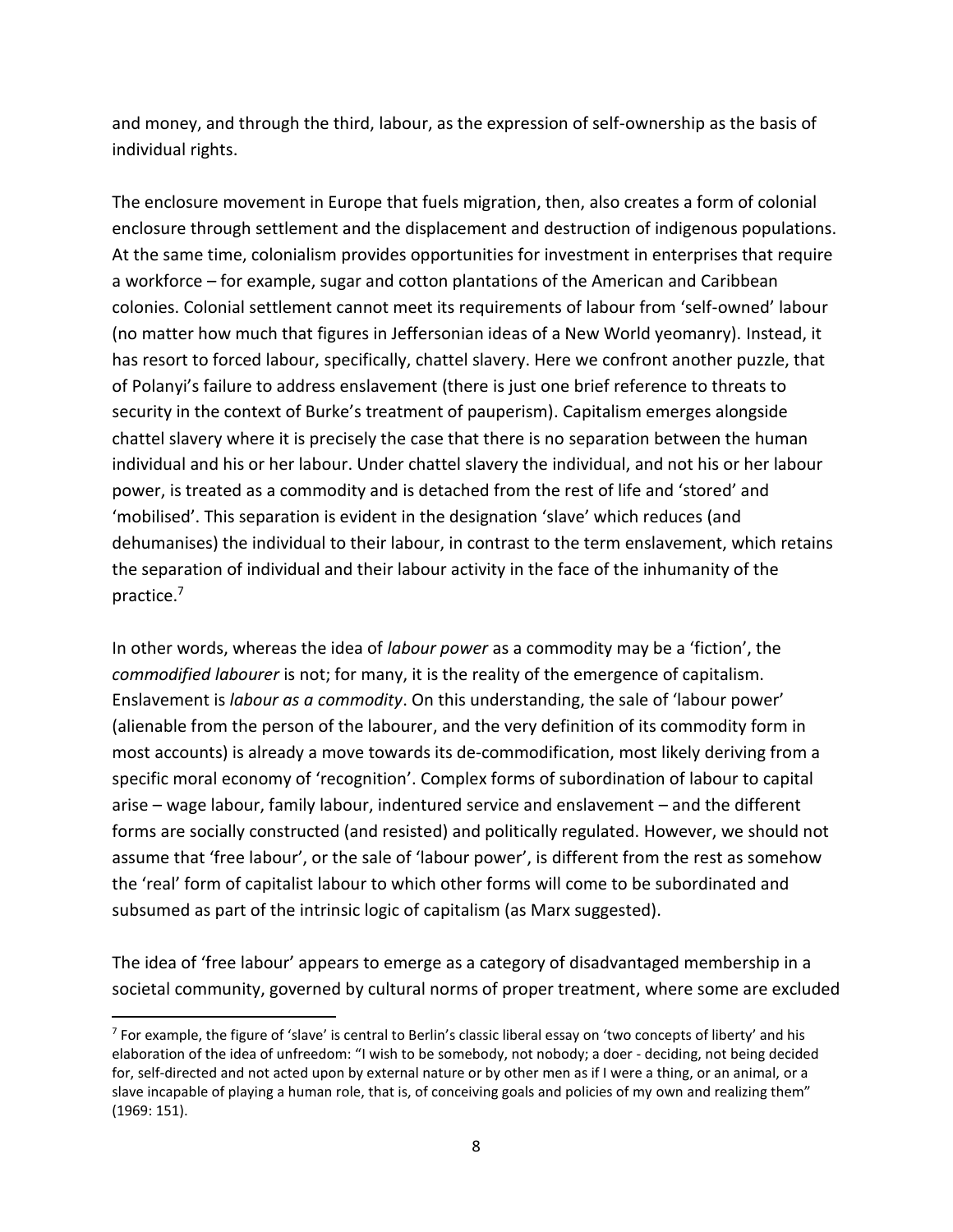and money, and through the third, labour, as the expression of self-ownership as the basis of individual rights.

The enclosure movement in Europe that fuels migration, then, also creates a form of colonial enclosure through settlement and the displacement and destruction of indigenous populations. At the same time, colonialism provides opportunities for investment in enterprises that require a workforce – for example, sugar and cotton plantations of the American and Caribbean colonies. Colonial settlement cannot meet its requirements of labour from 'self-owned' labour (no matter how much that figures in Jeffersonian ideas of a New World yeomanry). Instead, it has resort to forced labour, specifically, chattel slavery. Here we confront another puzzle, that of Polanyi's failure to address enslavement (there is just one brief reference to threats to security in the context of Burke's treatment of pauperism). Capitalism emerges alongside chattel slavery where it is precisely the case that there is no separation between the human individual and his or her labour. Under chattel slavery the individual, and not his or her labour power, is treated as a commodity and is detached from the rest of life and 'stored' and 'mobilised'. This separation is evident in the designation 'slave' which reduces (and dehumanises) the individual to their labour, in contrast to the term enslavement, which retains the separation of individual and their labour activity in the face of the inhumanity of the practice.<sup>7</sup>

In other words, whereas the idea of *labour power* as a commodity may be a 'fiction', the *commodified labourer* is not; for many, it is the reality of the emergence of capitalism. Enslavement is *labour as a commodity*. On this understanding, the sale of 'labour power' (alienable from the person of the labourer, and the very definition of its commodity form in most accounts) is already a move towards its de-commodification, most likely deriving from a specific moral economy of 'recognition'. Complex forms of subordination of labour to capital arise – wage labour, family labour, indentured service and enslavement – and the different forms are socially constructed (and resisted) and politically regulated. However, we should not assume that 'free labour', or the sale of 'labour power', is different from the rest as somehow the 'real' form of capitalist labour to which other forms will come to be subordinated and subsumed as part of the intrinsic logic of capitalism (as Marx suggested).

The idea of 'free labour' appears to emerge as a category of disadvantaged membership in a societal community, governed by cultural norms of proper treatment, where some are excluded

 $\overline{\phantom{a}}$ 

<sup>&</sup>lt;sup>7</sup> For example, the figure of 'slave' is central to Berlin's classic liberal essay on 'two concepts of liberty' and his elaboration of the idea of unfreedom: "I wish to be somebody, not nobody; a doer - deciding, not being decided for, self-directed and not acted upon by external nature or by other men as if I were a thing, or an animal, or a slave incapable of playing a human role, that is, of conceiving goals and policies of my own and realizing them" (1969: 151).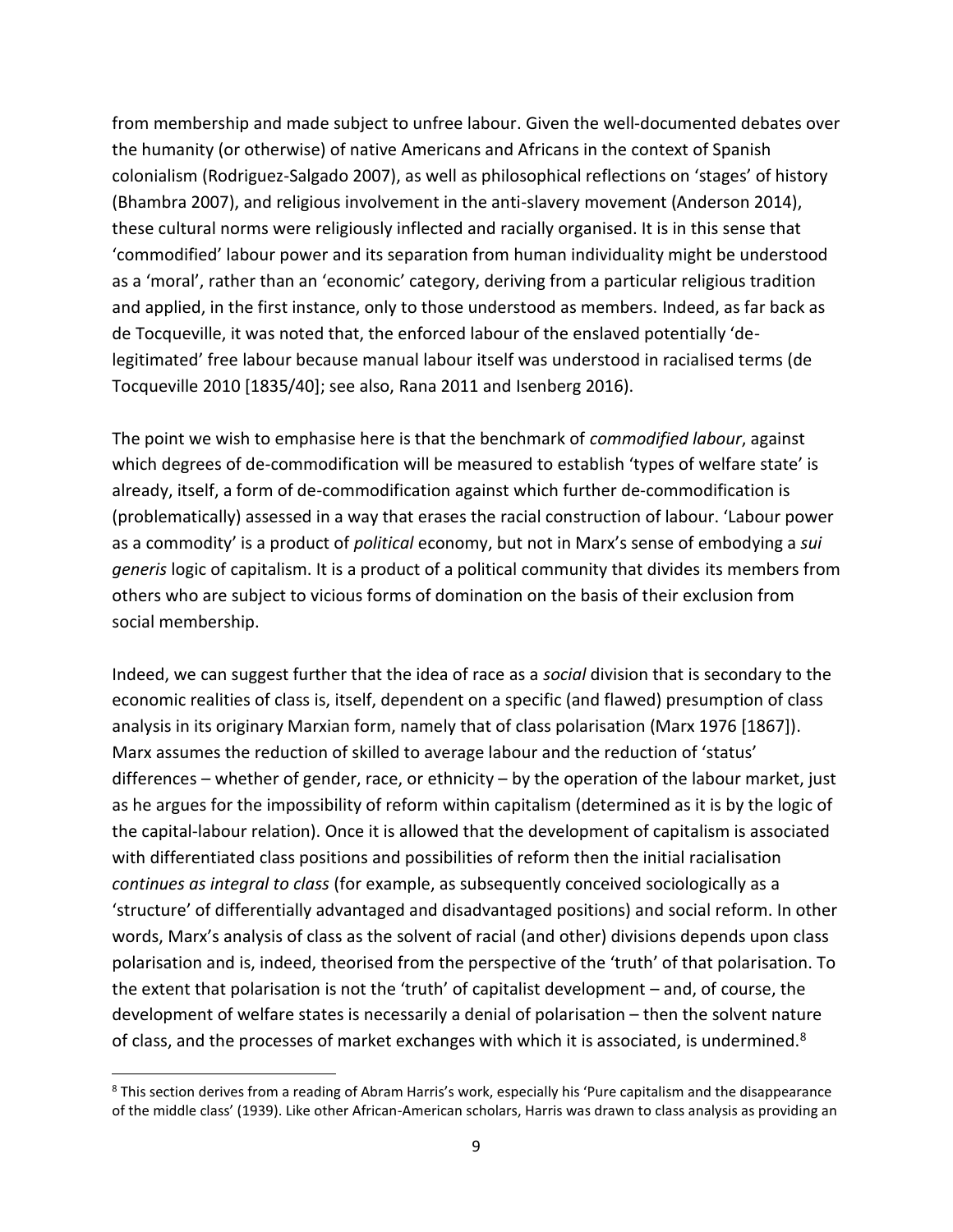from membership and made subject to unfree labour. Given the well-documented debates over the humanity (or otherwise) of native Americans and Africans in the context of Spanish colonialism (Rodriguez-Salgado 2007), as well as philosophical reflections on 'stages' of history (Bhambra 2007), and religious involvement in the anti-slavery movement (Anderson 2014), these cultural norms were religiously inflected and racially organised. It is in this sense that 'commodified' labour power and its separation from human individuality might be understood as a 'moral', rather than an 'economic' category, deriving from a particular religious tradition and applied, in the first instance, only to those understood as members. Indeed, as far back as de Tocqueville, it was noted that, the enforced labour of the enslaved potentially 'delegitimated' free labour because manual labour itself was understood in racialised terms (de Tocqueville 2010 [1835/40]; see also, Rana 2011 and Isenberg 2016).

The point we wish to emphasise here is that the benchmark of *commodified labour*, against which degrees of de-commodification will be measured to establish 'types of welfare state' is already, itself, a form of de-commodification against which further de-commodification is (problematically) assessed in a way that erases the racial construction of labour. 'Labour power as a commodity' is a product of *political* economy, but not in Marx's sense of embodying a *sui generis* logic of capitalism. It is a product of a political community that divides its members from others who are subject to vicious forms of domination on the basis of their exclusion from social membership.

Indeed, we can suggest further that the idea of race as a *social* division that is secondary to the economic realities of class is, itself, dependent on a specific (and flawed) presumption of class analysis in its originary Marxian form, namely that of class polarisation (Marx 1976 [1867]). Marx assumes the reduction of skilled to average labour and the reduction of 'status' differences – whether of gender, race, or ethnicity – by the operation of the labour market, just as he argues for the impossibility of reform within capitalism (determined as it is by the logic of the capital-labour relation). Once it is allowed that the development of capitalism is associated with differentiated class positions and possibilities of reform then the initial racialisation *continues as integral to class* (for example, as subsequently conceived sociologically as a 'structure' of differentially advantaged and disadvantaged positions) and social reform. In other words, Marx's analysis of class as the solvent of racial (and other) divisions depends upon class polarisation and is, indeed, theorised from the perspective of the 'truth' of that polarisation. To the extent that polarisation is not the 'truth' of capitalist development – and, of course, the development of welfare states is necessarily a denial of polarisation – then the solvent nature of class, and the processes of market exchanges with which it is associated, is undermined.<sup>8</sup>

 $\overline{\phantom{a}}$ 

<sup>&</sup>lt;sup>8</sup> This section derives from a reading of Abram Harris's work, especially his 'Pure capitalism and the disappearance of the middle class' (1939). Like other African-American scholars, Harris was drawn to class analysis as providing an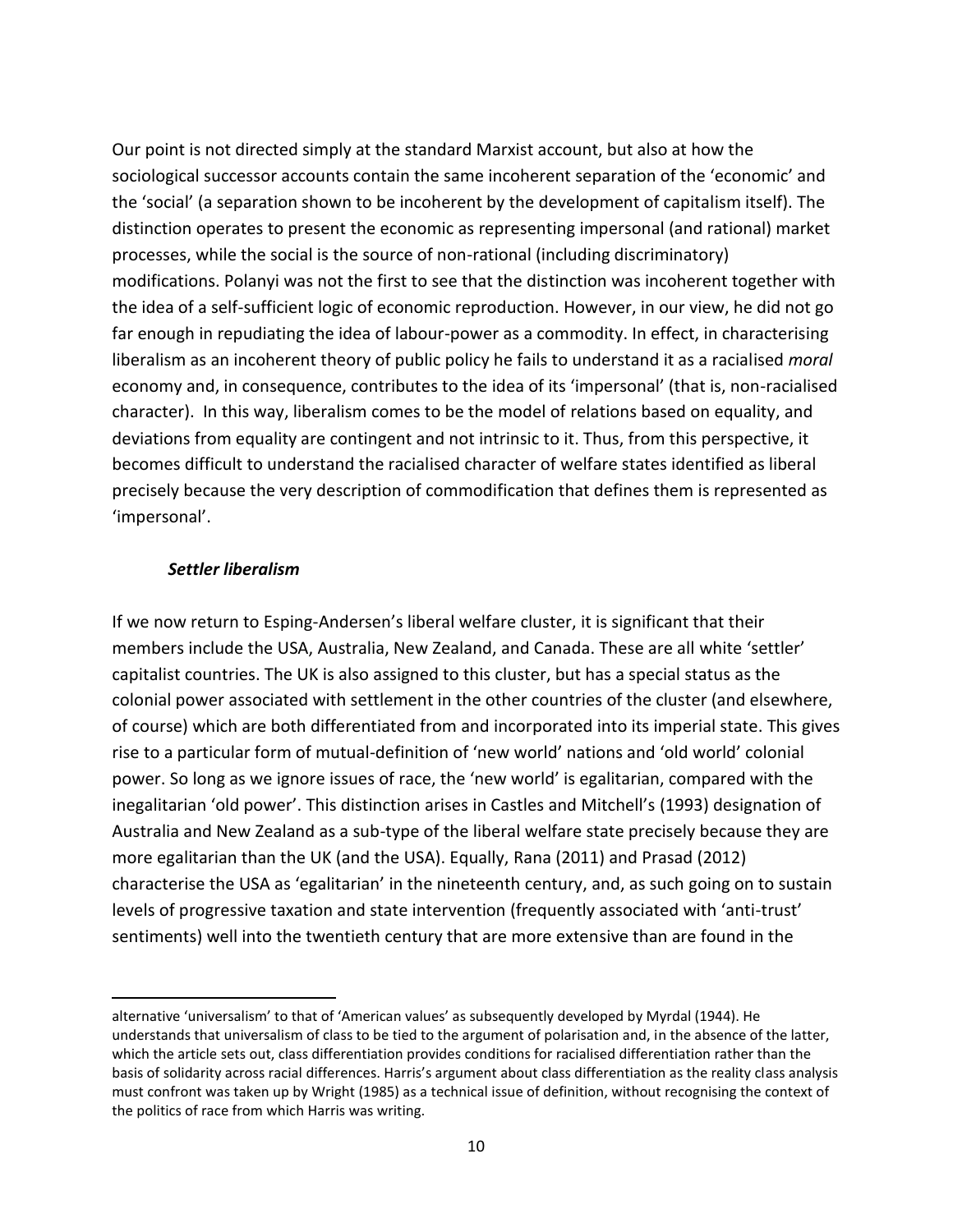Our point is not directed simply at the standard Marxist account, but also at how the sociological successor accounts contain the same incoherent separation of the 'economic' and the 'social' (a separation shown to be incoherent by the development of capitalism itself). The distinction operates to present the economic as representing impersonal (and rational) market processes, while the social is the source of non-rational (including discriminatory) modifications. Polanyi was not the first to see that the distinction was incoherent together with the idea of a self-sufficient logic of economic reproduction. However, in our view, he did not go far enough in repudiating the idea of labour-power as a commodity. In effect, in characterising liberalism as an incoherent theory of public policy he fails to understand it as a racialised *moral* economy and, in consequence, contributes to the idea of its 'impersonal' (that is, non-racialised character). In this way, liberalism comes to be the model of relations based on equality, and deviations from equality are contingent and not intrinsic to it. Thus, from this perspective, it becomes difficult to understand the racialised character of welfare states identified as liberal precisely because the very description of commodification that defines them is represented as 'impersonal'.

#### *Settler liberalism*

l

If we now return to Esping-Andersen's liberal welfare cluster, it is significant that their members include the USA, Australia, New Zealand, and Canada. These are all white 'settler' capitalist countries. The UK is also assigned to this cluster, but has a special status as the colonial power associated with settlement in the other countries of the cluster (and elsewhere, of course) which are both differentiated from and incorporated into its imperial state. This gives rise to a particular form of mutual-definition of 'new world' nations and 'old world' colonial power. So long as we ignore issues of race, the 'new world' is egalitarian, compared with the inegalitarian 'old power'. This distinction arises in Castles and Mitchell's (1993) designation of Australia and New Zealand as a sub-type of the liberal welfare state precisely because they are more egalitarian than the UK (and the USA). Equally, Rana (2011) and Prasad (2012) characterise the USA as 'egalitarian' in the nineteenth century, and, as such going on to sustain levels of progressive taxation and state intervention (frequently associated with 'anti-trust' sentiments) well into the twentieth century that are more extensive than are found in the

alternative 'universalism' to that of 'American values' as subsequently developed by Myrdal (1944). He understands that universalism of class to be tied to the argument of polarisation and, in the absence of the latter, which the article sets out, class differentiation provides conditions for racialised differentiation rather than the basis of solidarity across racial differences. Harris's argument about class differentiation as the reality class analysis must confront was taken up by Wright (1985) as a technical issue of definition, without recognising the context of the politics of race from which Harris was writing.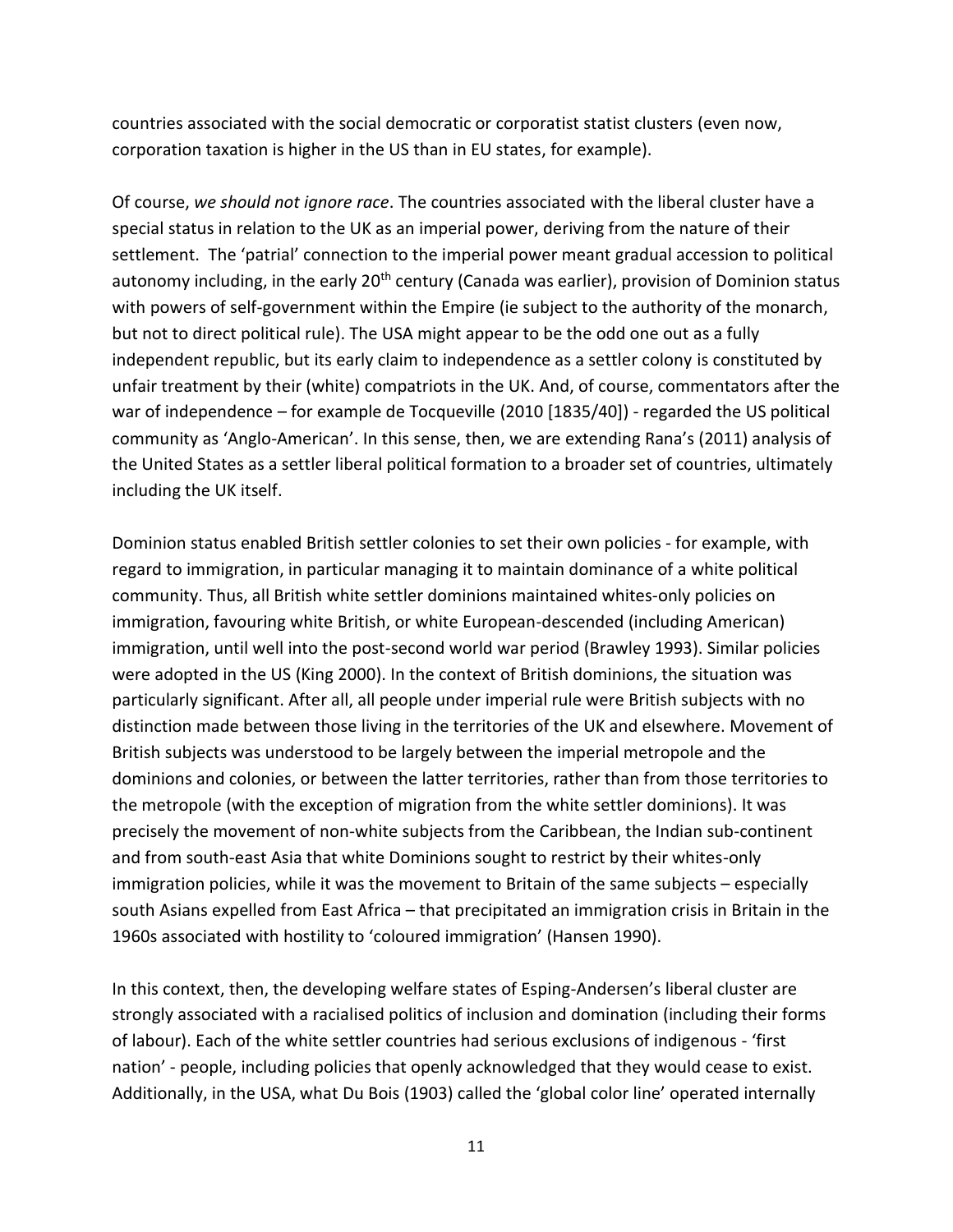countries associated with the social democratic or corporatist statist clusters (even now, corporation taxation is higher in the US than in EU states, for example).

Of course, *we should not ignore race*. The countries associated with the liberal cluster have a special status in relation to the UK as an imperial power, deriving from the nature of their settlement. The 'patrial' connection to the imperial power meant gradual accession to political autonomy including, in the early 20<sup>th</sup> century (Canada was earlier), provision of Dominion status with powers of self-government within the Empire (ie subject to the authority of the monarch, but not to direct political rule). The USA might appear to be the odd one out as a fully independent republic, but its early claim to independence as a settler colony is constituted by unfair treatment by their (white) compatriots in the UK. And, of course, commentators after the war of independence – for example de Tocqueville (2010 [1835/40]) - regarded the US political community as 'Anglo-American'. In this sense, then, we are extending Rana's (2011) analysis of the United States as a settler liberal political formation to a broader set of countries, ultimately including the UK itself.

Dominion status enabled British settler colonies to set their own policies - for example, with regard to immigration, in particular managing it to maintain dominance of a white political community. Thus, all British white settler dominions maintained whites-only policies on immigration, favouring white British, or white European-descended (including American) immigration, until well into the post-second world war period (Brawley 1993). Similar policies were adopted in the US (King 2000). In the context of British dominions, the situation was particularly significant. After all, all people under imperial rule were British subjects with no distinction made between those living in the territories of the UK and elsewhere. Movement of British subjects was understood to be largely between the imperial metropole and the dominions and colonies, or between the latter territories, rather than from those territories to the metropole (with the exception of migration from the white settler dominions). It was precisely the movement of non-white subjects from the Caribbean, the Indian sub-continent and from south-east Asia that white Dominions sought to restrict by their whites-only immigration policies, while it was the movement to Britain of the same subjects – especially south Asians expelled from East Africa – that precipitated an immigration crisis in Britain in the 1960s associated with hostility to 'coloured immigration' (Hansen 1990).

In this context, then, the developing welfare states of Esping-Andersen's liberal cluster are strongly associated with a racialised politics of inclusion and domination (including their forms of labour). Each of the white settler countries had serious exclusions of indigenous - 'first nation' - people, including policies that openly acknowledged that they would cease to exist. Additionally, in the USA, what Du Bois (1903) called the 'global color line' operated internally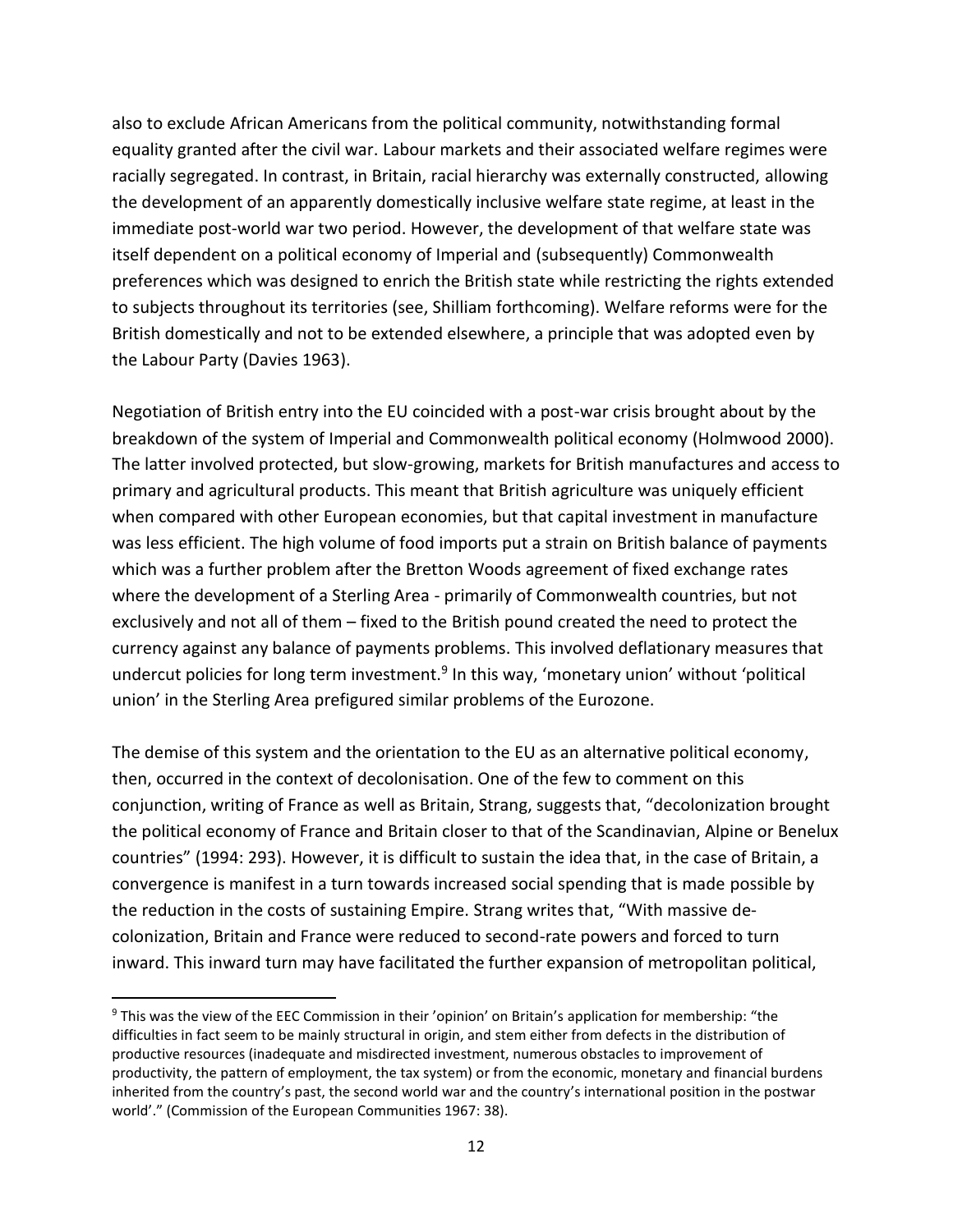also to exclude African Americans from the political community, notwithstanding formal equality granted after the civil war. Labour markets and their associated welfare regimes were racially segregated. In contrast, in Britain, racial hierarchy was externally constructed, allowing the development of an apparently domestically inclusive welfare state regime, at least in the immediate post-world war two period. However, the development of that welfare state was itself dependent on a political economy of Imperial and (subsequently) Commonwealth preferences which was designed to enrich the British state while restricting the rights extended to subjects throughout its territories (see, Shilliam forthcoming). Welfare reforms were for the British domestically and not to be extended elsewhere, a principle that was adopted even by the Labour Party (Davies 1963).

Negotiation of British entry into the EU coincided with a post-war crisis brought about by the breakdown of the system of Imperial and Commonwealth political economy (Holmwood 2000). The latter involved protected, but slow-growing, markets for British manufactures and access to primary and agricultural products. This meant that British agriculture was uniquely efficient when compared with other European economies, but that capital investment in manufacture was less efficient. The high volume of food imports put a strain on British balance of payments which was a further problem after the Bretton Woods agreement of fixed exchange rates where the development of a Sterling Area - primarily of Commonwealth countries, but not exclusively and not all of them – fixed to the British pound created the need to protect the currency against any balance of payments problems. This involved deflationary measures that undercut policies for long term investment.<sup>9</sup> In this way, 'monetary union' without 'political union' in the Sterling Area prefigured similar problems of the Eurozone.

The demise of this system and the orientation to the EU as an alternative political economy, then, occurred in the context of decolonisation. One of the few to comment on this conjunction, writing of France as well as Britain, Strang, suggests that, "decolonization brought the political economy of France and Britain closer to that of the Scandinavian, Alpine or Benelux countries" (1994: 293). However, it is difficult to sustain the idea that, in the case of Britain, a convergence is manifest in a turn towards increased social spending that is made possible by the reduction in the costs of sustaining Empire. Strang writes that, "With massive decolonization, Britain and France were reduced to second-rate powers and forced to turn inward. This inward turn may have facilitated the further expansion of metropolitan political,

l

<sup>9</sup> This was the view of the EEC Commission in their 'opinion' on Britain's application for membership: "the difficulties in fact seem to be mainly structural in origin, and stem either from defects in the distribution of productive resources (inadequate and misdirected investment, numerous obstacles to improvement of productivity, the pattern of employment, the tax system) or from the economic, monetary and financial burdens inherited from the country's past, the second world war and the country's international position in the postwar world'." (Commission of the European Communities 1967: 38).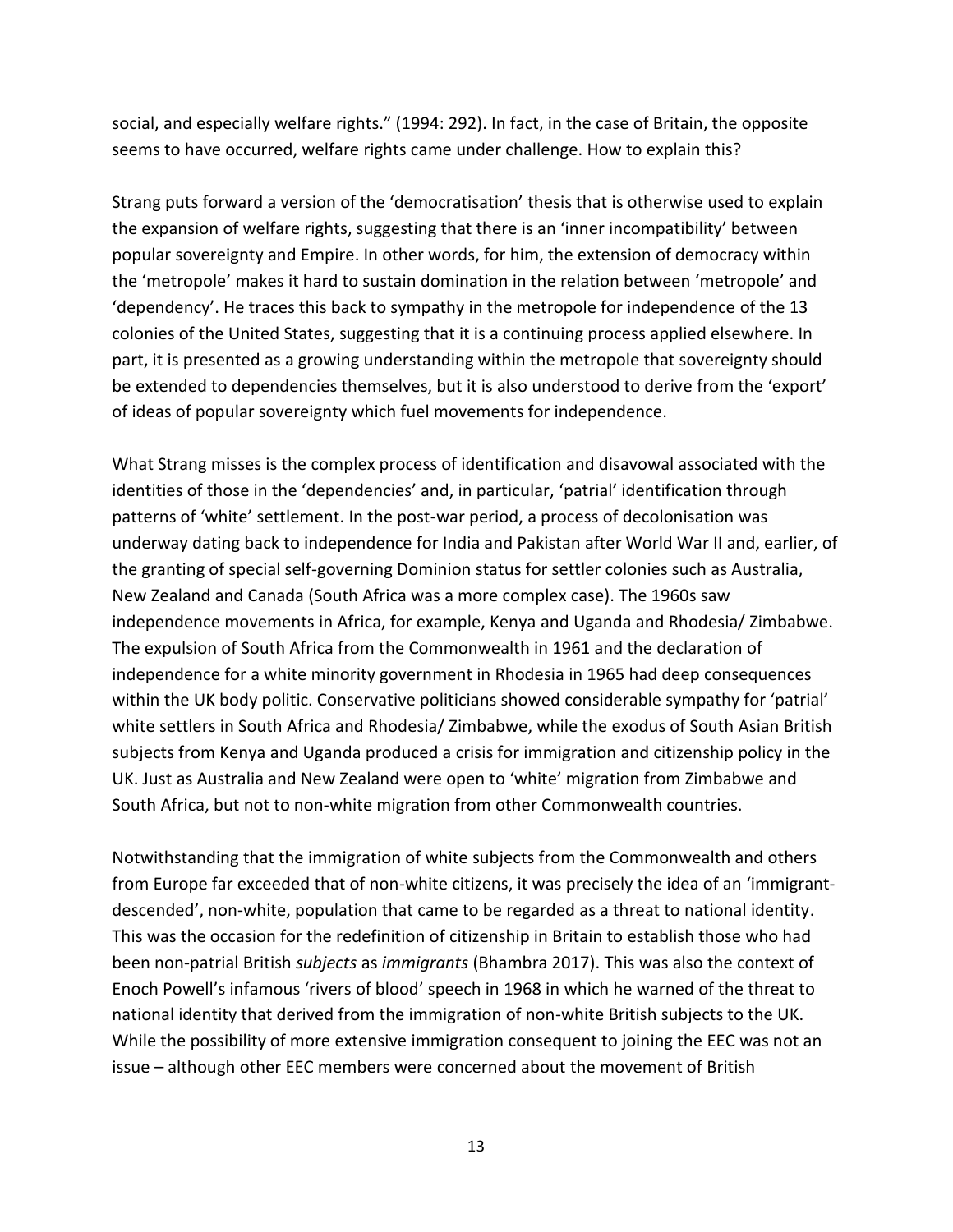social, and especially welfare rights." (1994: 292). In fact, in the case of Britain, the opposite seems to have occurred, welfare rights came under challenge. How to explain this?

Strang puts forward a version of the 'democratisation' thesis that is otherwise used to explain the expansion of welfare rights, suggesting that there is an 'inner incompatibility' between popular sovereignty and Empire. In other words, for him, the extension of democracy within the 'metropole' makes it hard to sustain domination in the relation between 'metropole' and 'dependency'. He traces this back to sympathy in the metropole for independence of the 13 colonies of the United States, suggesting that it is a continuing process applied elsewhere. In part, it is presented as a growing understanding within the metropole that sovereignty should be extended to dependencies themselves, but it is also understood to derive from the 'export' of ideas of popular sovereignty which fuel movements for independence.

What Strang misses is the complex process of identification and disavowal associated with the identities of those in the 'dependencies' and, in particular, 'patrial' identification through patterns of 'white' settlement. In the post-war period, a process of decolonisation was underway dating back to independence for India and Pakistan after World War II and, earlier, of the granting of special self-governing Dominion status for settler colonies such as Australia, New Zealand and Canada (South Africa was a more complex case). The 1960s saw independence movements in Africa, for example, Kenya and Uganda and Rhodesia/ Zimbabwe. The expulsion of South Africa from the Commonwealth in 1961 and the declaration of independence for a white minority government in Rhodesia in 1965 had deep consequences within the UK body politic. Conservative politicians showed considerable sympathy for 'patrial' white settlers in South Africa and Rhodesia/ Zimbabwe, while the exodus of South Asian British subjects from Kenya and Uganda produced a crisis for immigration and citizenship policy in the UK. Just as Australia and New Zealand were open to 'white' migration from Zimbabwe and South Africa, but not to non-white migration from other Commonwealth countries.

Notwithstanding that the immigration of white subjects from the Commonwealth and others from Europe far exceeded that of non-white citizens, it was precisely the idea of an 'immigrantdescended', non-white, population that came to be regarded as a threat to national identity. This was the occasion for the redefinition of citizenship in Britain to establish those who had been non-patrial British *subjects* as *immigrants* (Bhambra 2017). This was also the context of Enoch Powell's infamous 'rivers of blood' speech in 1968 in which he warned of the threat to national identity that derived from the immigration of non-white British subjects to the UK. While the possibility of more extensive immigration consequent to joining the EEC was not an issue – although other EEC members were concerned about the movement of British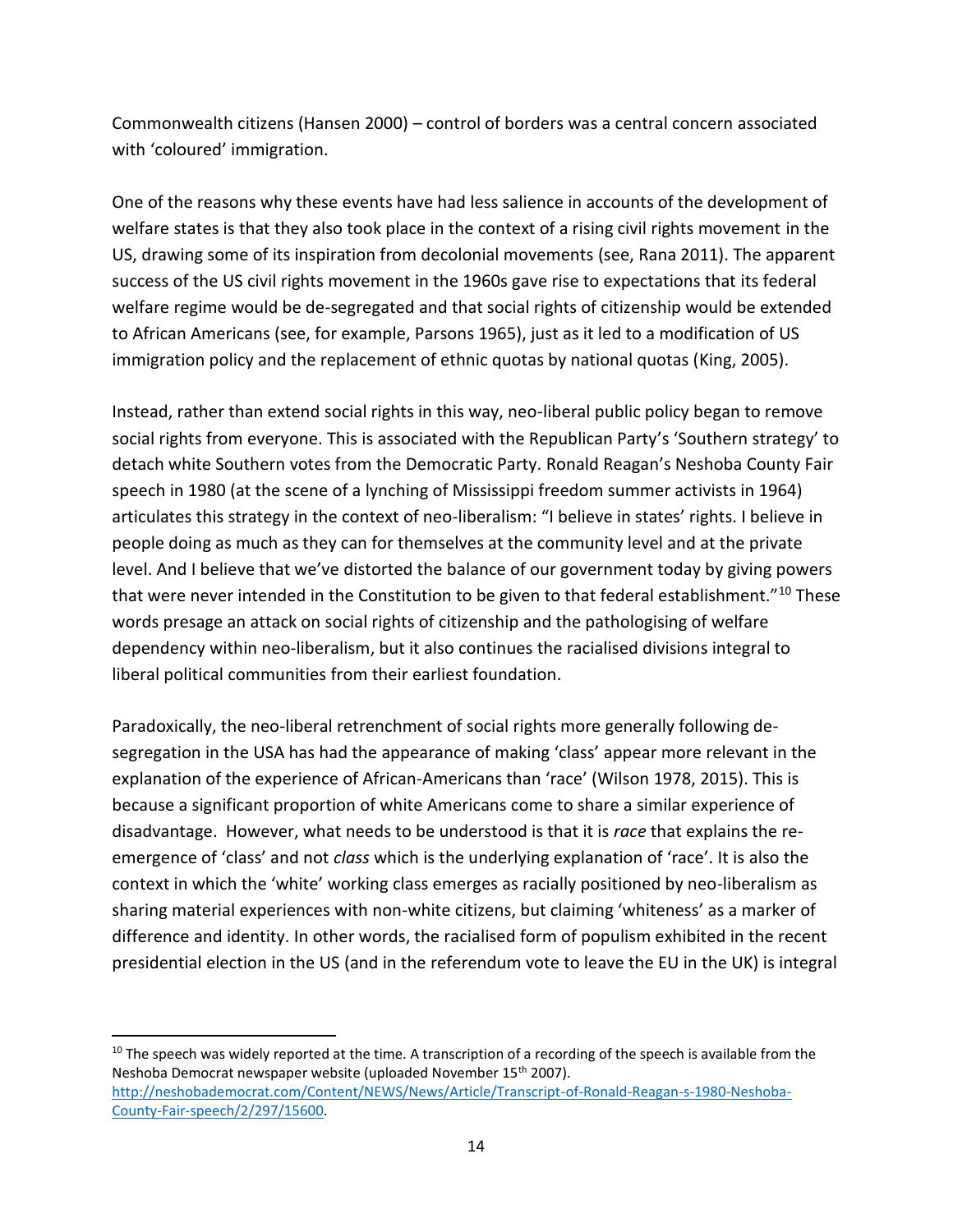Commonwealth citizens (Hansen 2000) – control of borders was a central concern associated with 'coloured' immigration.

One of the reasons why these events have had less salience in accounts of the development of welfare states is that they also took place in the context of a rising civil rights movement in the US, drawing some of its inspiration from decolonial movements (see, Rana 2011). The apparent success of the US civil rights movement in the 1960s gave rise to expectations that its federal welfare regime would be de-segregated and that social rights of citizenship would be extended to African Americans (see, for example, Parsons 1965), just as it led to a modification of US immigration policy and the replacement of ethnic quotas by national quotas (King, 2005).

Instead, rather than extend social rights in this way, neo-liberal public policy began to remove social rights from everyone. This is associated with the Republican Party's 'Southern strategy' to detach white Southern votes from the Democratic Party. Ronald Reagan's Neshoba County Fair speech in 1980 (at the scene of a lynching of Mississippi freedom summer activists in 1964) articulates this strategy in the context of neo-liberalism: "I believe in states' rights. I believe in people doing as much as they can for themselves at the community level and at the private level. And I believe that we've distorted the balance of our government today by giving powers that were never intended in the Constitution to be given to that federal establishment."<sup>10</sup> These words presage an attack on social rights of citizenship and the pathologising of welfare dependency within neo-liberalism, but it also continues the racialised divisions integral to liberal political communities from their earliest foundation.

Paradoxically, the neo-liberal retrenchment of social rights more generally following desegregation in the USA has had the appearance of making 'class' appear more relevant in the explanation of the experience of African-Americans than 'race' (Wilson 1978, 2015). This is because a significant proportion of white Americans come to share a similar experience of disadvantage. However, what needs to be understood is that it is *race* that explains the reemergence of 'class' and not *class* which is the underlying explanation of 'race'. It is also the context in which the 'white' working class emerges as racially positioned by neo-liberalism as sharing material experiences with non-white citizens, but claiming 'whiteness' as a marker of difference and identity. In other words, the racialised form of populism exhibited in the recent presidential election in the US (and in the referendum vote to leave the EU in the UK) is integral

l

 $10$  The speech was widely reported at the time. A transcription of a recording of the speech is available from the Neshoba Democrat newspaper website (uploaded November 15<sup>th</sup> 2007). [http://neshobademocrat.com/Content/NEWS/News/Article/Transcript-of-Ronald-Reagan-s-1980-Neshoba-](http://neshobademocrat.com/Content/NEWS/News/Article/Transcript-of-Ronald-Reagan-s-1980-Neshoba-County-Fair-speech/2/297/15600)[County-Fair-speech/2/297/15600.](http://neshobademocrat.com/Content/NEWS/News/Article/Transcript-of-Ronald-Reagan-s-1980-Neshoba-County-Fair-speech/2/297/15600)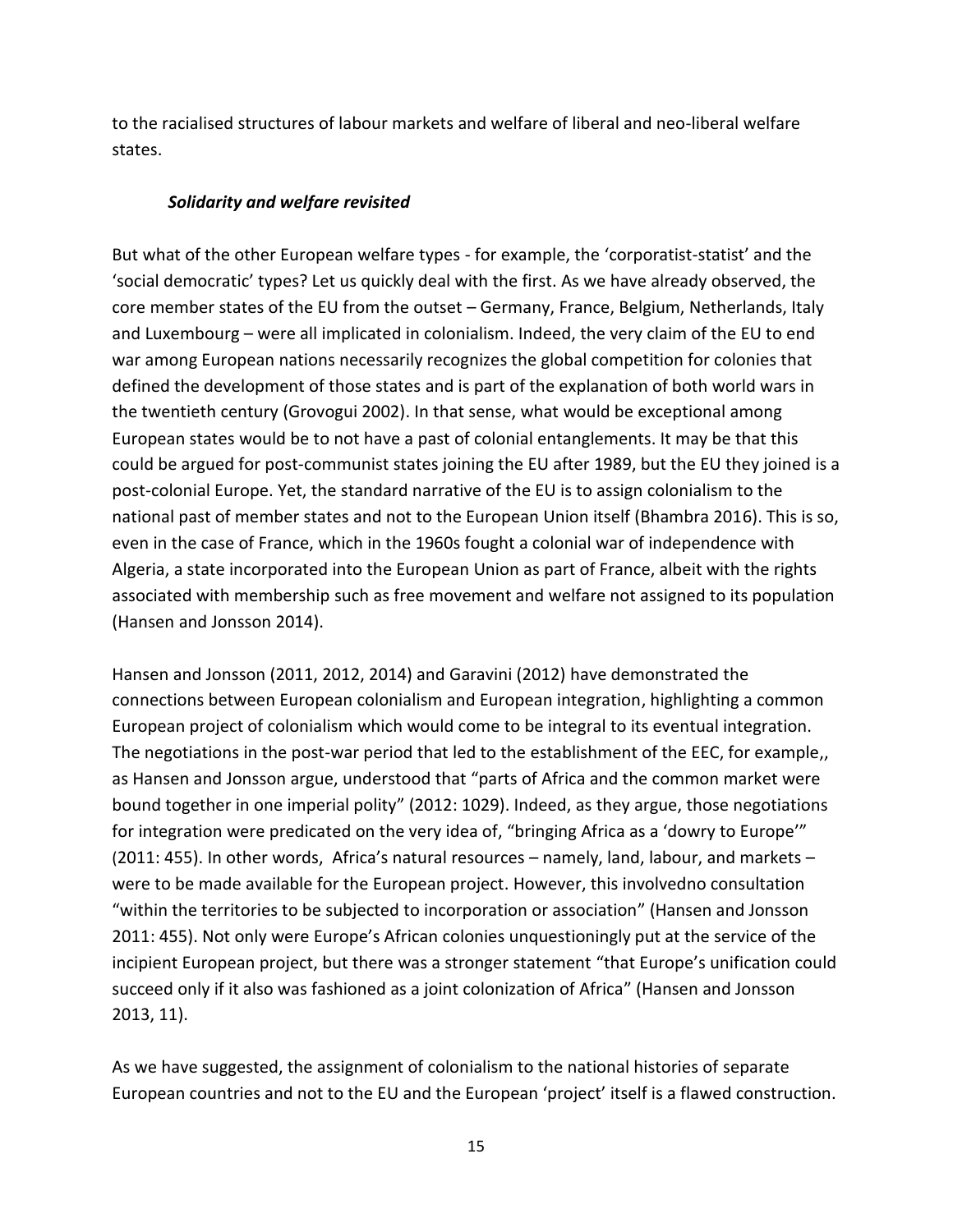to the racialised structures of labour markets and welfare of liberal and neo-liberal welfare states.

#### *Solidarity and welfare revisited*

But what of the other European welfare types - for example, the 'corporatist-statist' and the 'social democratic' types? Let us quickly deal with the first. As we have already observed, the core member states of the EU from the outset – Germany, France, Belgium, Netherlands, Italy and Luxembourg – were all implicated in colonialism. Indeed, the very claim of the EU to end war among European nations necessarily recognizes the global competition for colonies that defined the development of those states and is part of the explanation of both world wars in the twentieth century (Grovogui 2002). In that sense, what would be exceptional among European states would be to not have a past of colonial entanglements. It may be that this could be argued for post-communist states joining the EU after 1989, but the EU they joined is a post-colonial Europe. Yet, the standard narrative of the EU is to assign colonialism to the national past of member states and not to the European Union itself (Bhambra 2016). This is so, even in the case of France, which in the 1960s fought a colonial war of independence with Algeria, a state incorporated into the European Union as part of France, albeit with the rights associated with membership such as free movement and welfare not assigned to its population (Hansen and Jonsson 2014).

Hansen and Jonsson (2011, 2012, 2014) and Garavini (2012) have demonstrated the connections between European colonialism and European integration, highlighting a common European project of colonialism which would come to be integral to its eventual integration. The negotiations in the post-war period that led to the establishment of the EEC, for example,, as Hansen and Jonsson argue, understood that "parts of Africa and the common market were bound together in one imperial polity" (2012: 1029). Indeed, as they argue, those negotiations for integration were predicated on the very idea of, "bringing Africa as a 'dowry to Europe'" (2011: 455). In other words, Africa's natural resources – namely, land, labour, and markets – were to be made available for the European project. However, this involvedno consultation "within the territories to be subjected to incorporation or association" (Hansen and Jonsson 2011: 455). Not only were Europe's African colonies unquestioningly put at the service of the incipient European project, but there was a stronger statement "that Europe's unification could succeed only if it also was fashioned as a joint colonization of Africa" (Hansen and Jonsson 2013, 11).

As we have suggested, the assignment of colonialism to the national histories of separate European countries and not to the EU and the European 'project' itself is a flawed construction.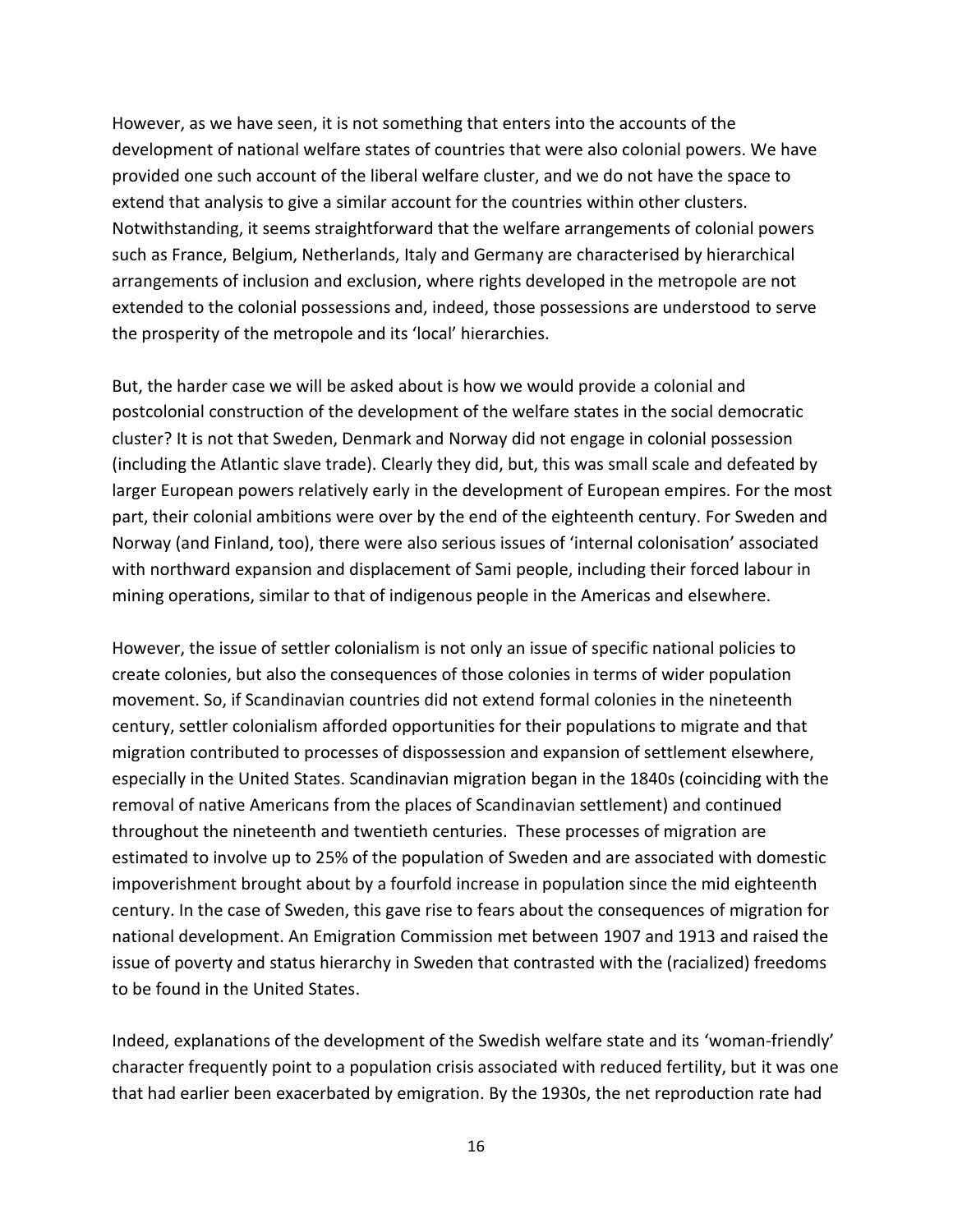However, as we have seen, it is not something that enters into the accounts of the development of national welfare states of countries that were also colonial powers. We have provided one such account of the liberal welfare cluster, and we do not have the space to extend that analysis to give a similar account for the countries within other clusters. Notwithstanding, it seems straightforward that the welfare arrangements of colonial powers such as France, Belgium, Netherlands, Italy and Germany are characterised by hierarchical arrangements of inclusion and exclusion, where rights developed in the metropole are not extended to the colonial possessions and, indeed, those possessions are understood to serve the prosperity of the metropole and its 'local' hierarchies.

But, the harder case we will be asked about is how we would provide a colonial and postcolonial construction of the development of the welfare states in the social democratic cluster? It is not that Sweden, Denmark and Norway did not engage in colonial possession (including the Atlantic slave trade). Clearly they did, but, this was small scale and defeated by larger European powers relatively early in the development of European empires. For the most part, their colonial ambitions were over by the end of the eighteenth century. For Sweden and Norway (and Finland, too), there were also serious issues of 'internal colonisation' associated with northward expansion and displacement of Sami people, including their forced labour in mining operations, similar to that of indigenous people in the Americas and elsewhere.

However, the issue of settler colonialism is not only an issue of specific national policies to create colonies, but also the consequences of those colonies in terms of wider population movement. So, if Scandinavian countries did not extend formal colonies in the nineteenth century, settler colonialism afforded opportunities for their populations to migrate and that migration contributed to processes of dispossession and expansion of settlement elsewhere, especially in the United States. Scandinavian migration began in the 1840s (coinciding with the removal of native Americans from the places of Scandinavian settlement) and continued throughout the nineteenth and twentieth centuries. These processes of migration are estimated to involve up to 25% of the population of Sweden and are associated with domestic impoverishment brought about by a fourfold increase in population since the mid eighteenth century. In the case of Sweden, this gave rise to fears about the consequences of migration for national development. An Emigration Commission met between 1907 and 1913 and raised the issue of poverty and status hierarchy in Sweden that contrasted with the (racialized) freedoms to be found in the United States.

Indeed, explanations of the development of the Swedish welfare state and its 'woman-friendly' character frequently point to a population crisis associated with reduced fertility, but it was one that had earlier been exacerbated by emigration. By the 1930s, the net reproduction rate had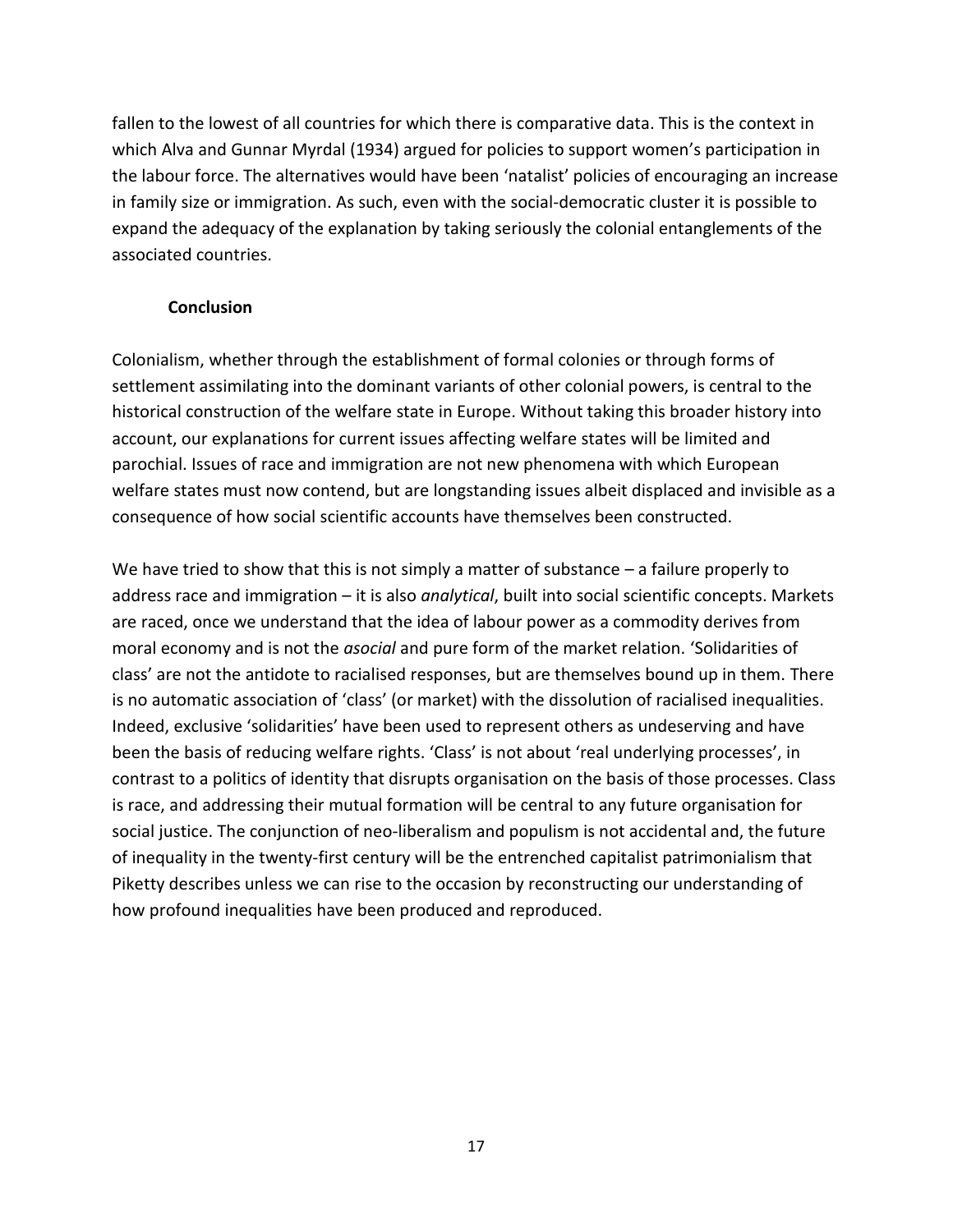fallen to the lowest of all countries for which there is comparative data. This is the context in which Alva and Gunnar Myrdal (1934) argued for policies to support women's participation in the labour force. The alternatives would have been 'natalist' policies of encouraging an increase in family size or immigration. As such, even with the social-democratic cluster it is possible to expand the adequacy of the explanation by taking seriously the colonial entanglements of the associated countries.

## **Conclusion**

Colonialism, whether through the establishment of formal colonies or through forms of settlement assimilating into the dominant variants of other colonial powers, is central to the historical construction of the welfare state in Europe. Without taking this broader history into account, our explanations for current issues affecting welfare states will be limited and parochial. Issues of race and immigration are not new phenomena with which European welfare states must now contend, but are longstanding issues albeit displaced and invisible as a consequence of how social scientific accounts have themselves been constructed.

We have tried to show that this is not simply a matter of substance - a failure properly to address race and immigration – it is also *analytical*, built into social scientific concepts. Markets are raced, once we understand that the idea of labour power as a commodity derives from moral economy and is not the *asocial* and pure form of the market relation. 'Solidarities of class' are not the antidote to racialised responses, but are themselves bound up in them. There is no automatic association of 'class' (or market) with the dissolution of racialised inequalities. Indeed, exclusive 'solidarities' have been used to represent others as undeserving and have been the basis of reducing welfare rights. 'Class' is not about 'real underlying processes', in contrast to a politics of identity that disrupts organisation on the basis of those processes. Class is race, and addressing their mutual formation will be central to any future organisation for social justice. The conjunction of neo-liberalism and populism is not accidental and, the future of inequality in the twenty-first century will be the entrenched capitalist patrimonialism that Piketty describes unless we can rise to the occasion by reconstructing our understanding of how profound inequalities have been produced and reproduced.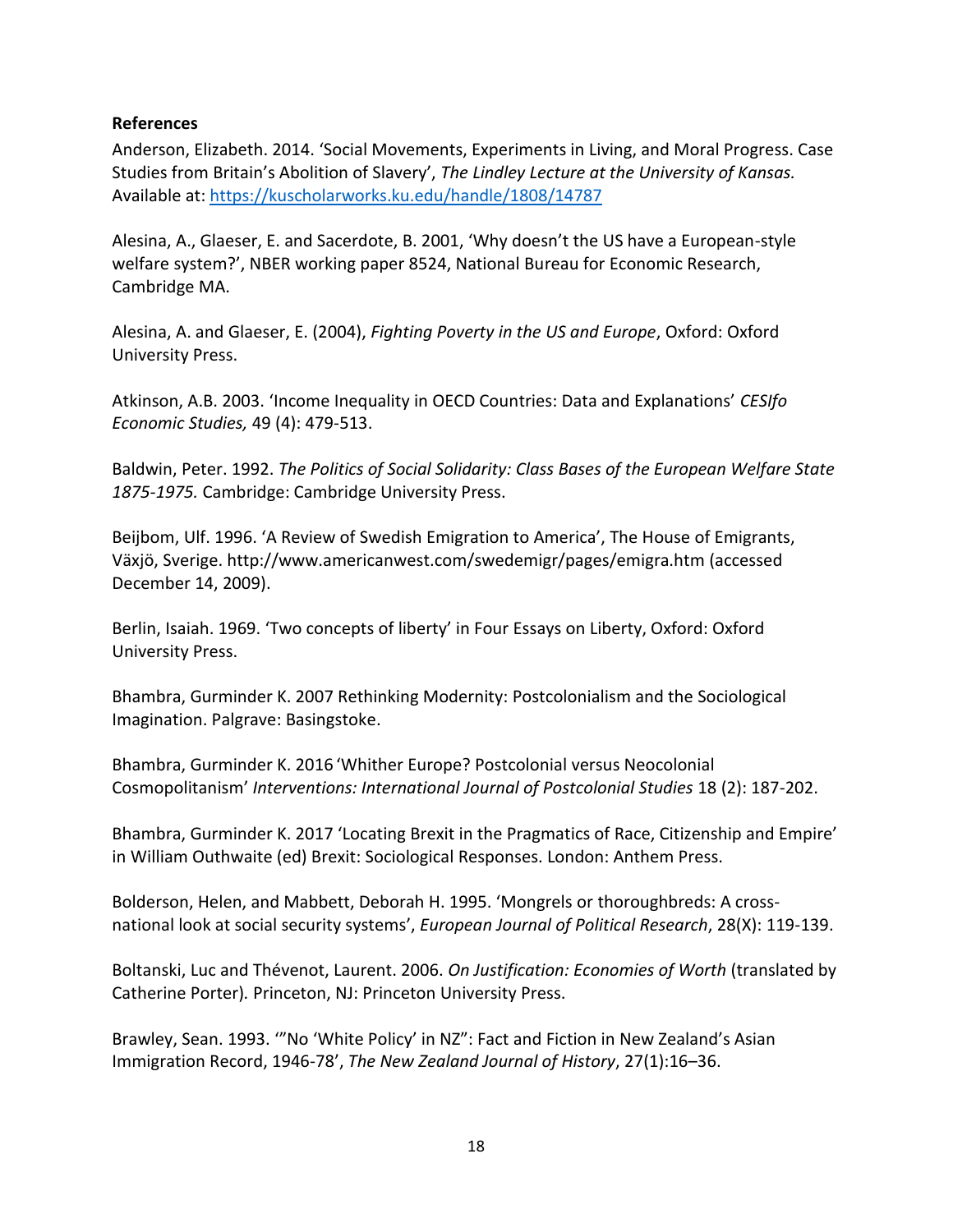#### **References**

Anderson, Elizabeth. 2014. 'Social Movements, Experiments in Living, and Moral Progress. Case Studies from Britain's Abolition of Slavery', *The Lindley Lecture at the University of Kansas.*  Available at:<https://kuscholarworks.ku.edu/handle/1808/14787>

Alesina, A., Glaeser, E. and Sacerdote, B. 2001, 'Why doesn't the US have a European-style welfare system?', NBER working paper 8524, National Bureau for Economic Research, Cambridge MA.

Alesina, A. and Glaeser, E. (2004), *Fighting Poverty in the US and Europe*, Oxford: Oxford University Press.

Atkinson, A.B. 2003. 'Income Inequality in OECD Countries: Data and Explanations' *CESIfo Economic Studies,* 49 (4): 479-513.

Baldwin, Peter. 1992. *The Politics of Social Solidarity: Class Bases of the European Welfare State 1875-1975.* Cambridge: Cambridge University Press.

Beijbom, Ulf. 1996. 'A Review of Swedish Emigration to America', The House of Emigrants, Växjö, Sverige. http://www.americanwest.com/swedemigr/pages/emigra.htm (accessed December 14, 2009).

Berlin, Isaiah. 1969. 'Two concepts of liberty' in Four Essays on Liberty, Oxford: Oxford University Press.

Bhambra, Gurminder K. 2007 Rethinking Modernity: Postcolonialism and the Sociological Imagination. Palgrave: Basingstoke.

Bhambra, Gurminder K. 2016 'Whither Europe? Postcolonial versus Neocolonial Cosmopolitanism' *Interventions: International Journal of Postcolonial Studies* 18 (2): 187-202.

Bhambra, Gurminder K. 2017 'Locating Brexit in the Pragmatics of Race, Citizenship and Empire' in William Outhwaite (ed) Brexit: Sociological Responses. London: Anthem Press.

Bolderson, Helen, and Mabbett, Deborah H. 1995. 'Mongrels or thoroughbreds: A crossnational look at social security systems', *European Journal of Political Research*, 28(X): 119-139.

Boltanski, Luc and Thévenot, Laurent. 2006. *On Justification: Economies of Worth* (translated by Catherine Porter)*.* Princeton, NJ: Princeton University Press.

Brawley, Sean. 1993. '"No 'White Policy' in NZ": Fact and Fiction in New Zealand's Asian Immigration Record, 1946-78', *The New Zealand Journal of History*, 27(1):16–36.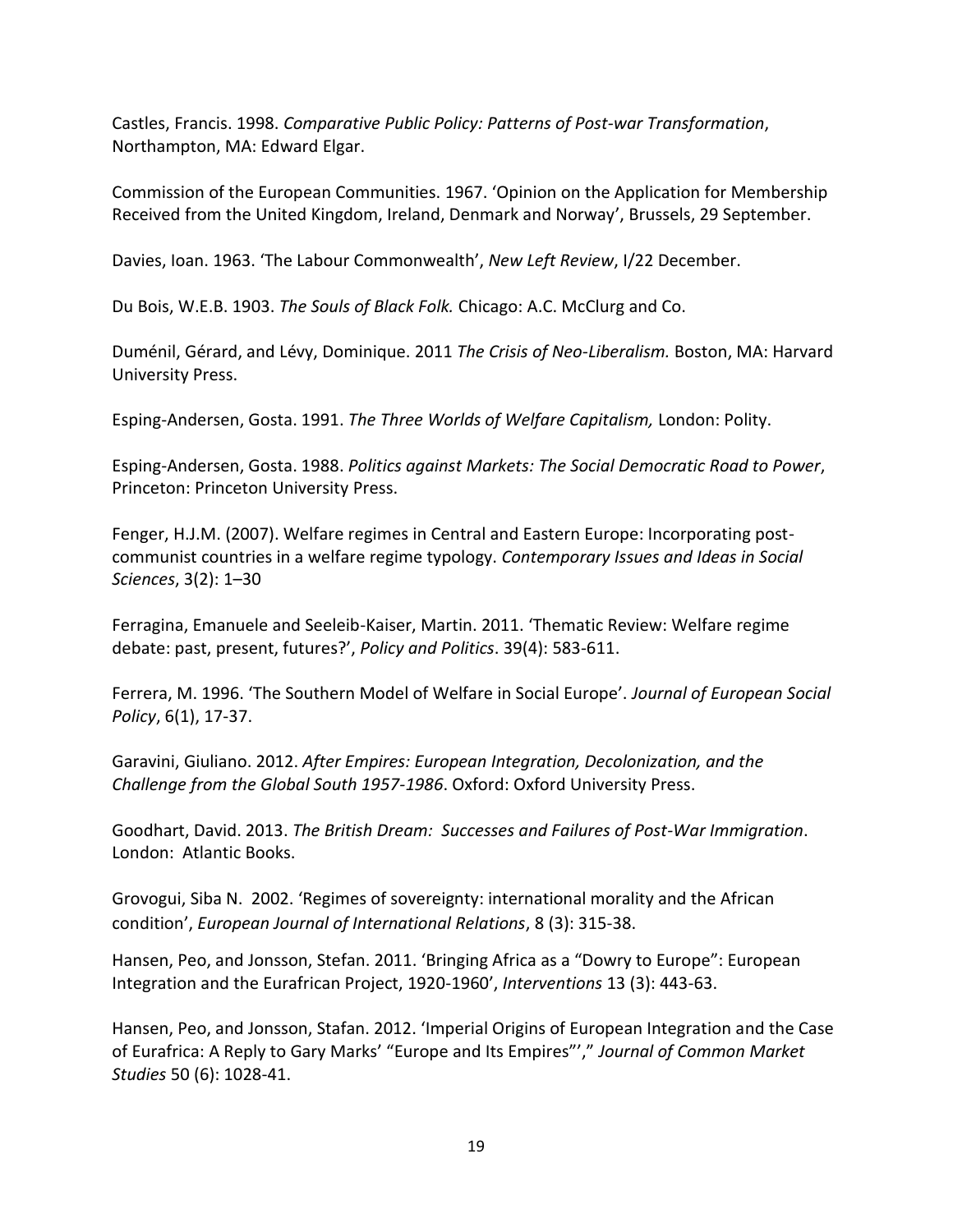Castles, Francis. 1998. *Comparative Public Policy: Patterns of Post-war Transformation*, Northampton, MA: Edward Elgar.

Commission of the European Communities. 1967. 'Opinion on the Application for Membership Received from the United Kingdom, Ireland, Denmark and Norway', Brussels, 29 September.

Davies, Ioan. 1963. 'The Labour Commonwealth', *New Left Review*, I/22 December.

Du Bois, W.E.B. 1903. *The Souls of Black Folk.* Chicago: A.C. McClurg and Co.

Duménil, Gérard, and Lévy, Dominique. 2011 *The Crisis of Neo-Liberalism.* Boston, MA: Harvard University Press.

Esping-Andersen, Gosta. 1991. *The Three Worlds of Welfare Capitalism,* London: Polity.

Esping-Andersen, Gosta. 1988. *Politics against Markets: The Social Democratic Road to Power*, Princeton: Princeton University Press.

Fenger, H.J.M. (2007). Welfare regimes in Central and Eastern Europe: Incorporating postcommunist countries in a welfare regime typology. *Contemporary Issues and Ideas in Social Sciences*, 3(2): 1–30

Ferragina, Emanuele and Seeleib-Kaiser, Martin. 2011. 'Thematic Review: Welfare regime debate: past, present, futures?', *Policy and Politics*. 39(4): 583-611.

Ferrera, M. 1996. 'The Southern Model of Welfare in Social Europe'. *Journal of European Social Policy*, 6(1), 17-37.

Garavini, Giuliano. 2012. *After Empires: European Integration, Decolonization, and the Challenge from the Global South 1957-1986*. Oxford: Oxford University Press.

Goodhart, David. 2013. *The British Dream: Successes and Failures of Post-War Immigration*. London: Atlantic Books.

Grovogui, Siba N. 2002. 'Regimes of sovereignty: international morality and the African condition', *European Journal of International Relations*, 8 (3): 315-38.

Hansen, Peo, and Jonsson, Stefan. 2011. 'Bringing Africa as a "Dowry to Europe": European Integration and the Eurafrican Project, 1920-1960', *Interventions* 13 (3): 443-63.

Hansen, Peo, and Jonsson, Stafan. 2012. 'Imperial Origins of European Integration and the Case of Eurafrica: A Reply to Gary Marks' "Europe and Its Empires"'," *Journal of Common Market Studies* 50 (6): 1028-41.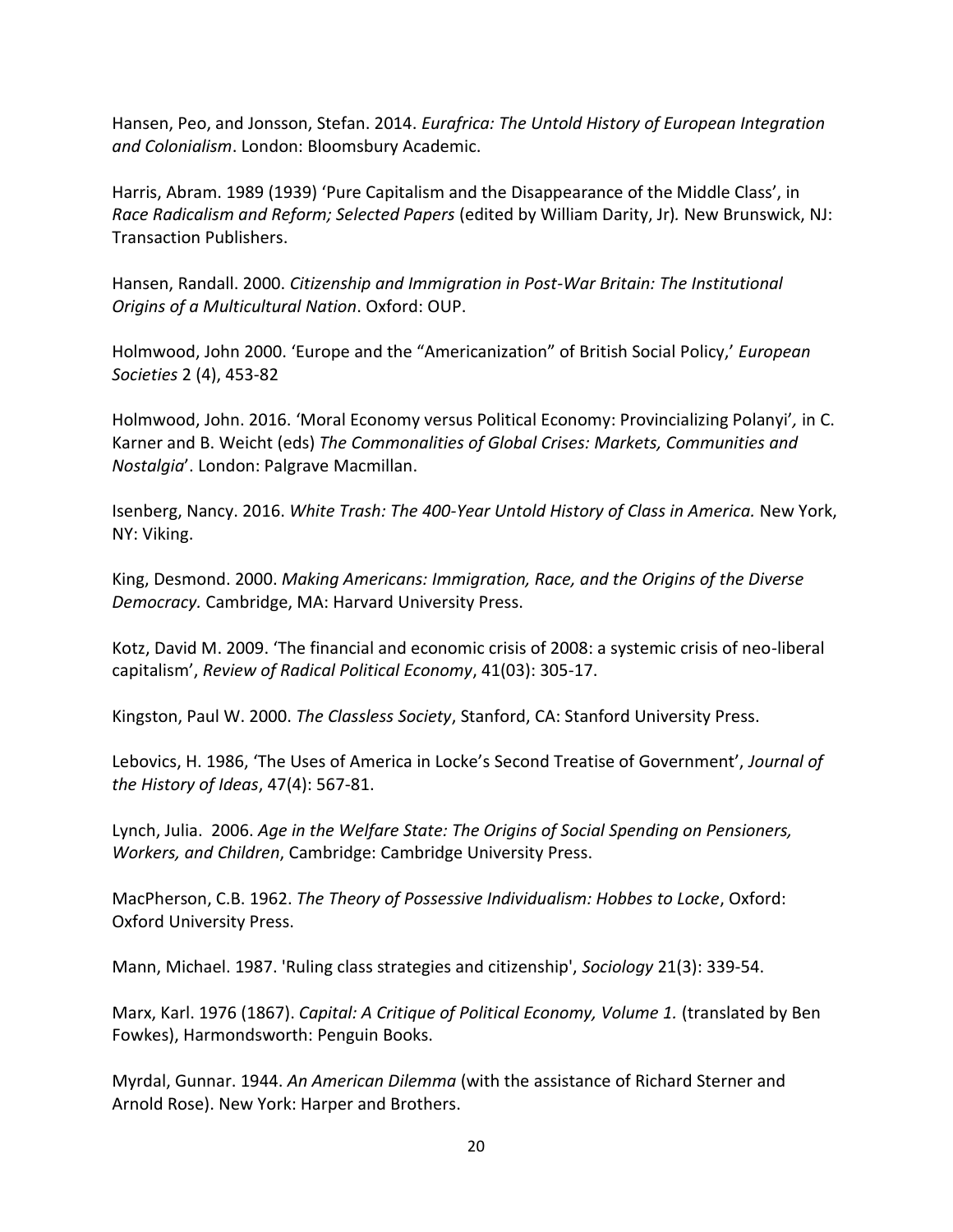Hansen, Peo, and Jonsson, Stefan. 2014. *Eurafrica: The Untold History of European Integration and Colonialism*. London: Bloomsbury Academic.

Harris, Abram. 1989 (1939) 'Pure Capitalism and the Disappearance of the Middle Class', in *Race Radicalism and Reform; Selected Papers* (edited by William Darity, Jr)*.* New Brunswick, NJ: Transaction Publishers.

Hansen, Randall. 2000. *Citizenship and Immigration in Post-War Britain: The Institutional Origins of a Multicultural Nation*. Oxford: OUP.

Holmwood, John 2000. 'Europe and the "Americanization" of British Social Policy,' *European Societies* 2 (4), 453-82

Holmwood, John. 2016. 'Moral Economy versus Political Economy: Provincializing Polanyi'*,* in C. Karner and B. Weicht (eds) *The Commonalities of Global Crises: Markets, Communities and Nostalgia*'. London: Palgrave Macmillan.

Isenberg, Nancy. 2016. *White Trash: The 400-Year Untold History of Class in America.* New York, NY: Viking.

King, Desmond. 2000. *Making Americans: Immigration, Race, and the Origins of the Diverse Democracy.* Cambridge, MA: Harvard University Press.

Kotz, David M. 2009. 'The financial and economic crisis of 2008: a systemic crisis of neo-liberal capitalism', *Review of Radical Political Economy*, 41(03): 305-17.

Kingston, Paul W. 2000. *The Classless Society*, Stanford, CA: Stanford University Press.

Lebovics, H. 1986, 'The Uses of America in Locke's Second Treatise of Government', *Journal of the History of Ideas*, 47(4): 567-81.

Lynch, Julia. 2006. *Age in the Welfare State: The Origins of Social Spending on Pensioners, Workers, and Children*, Cambridge: Cambridge University Press.

MacPherson, C.B. 1962. *The Theory of Possessive Individualism: Hobbes to Locke*, Oxford: Oxford University Press.

Mann, Michael. 1987. 'Ruling class strategies and citizenship', *Sociology* 21(3): 339-54.

Marx, Karl. 1976 (1867). *Capital: A Critique of Political Economy, Volume 1.* (translated by Ben Fowkes), Harmondsworth: Penguin Books.

Myrdal, Gunnar. 1944. *An American Dilemma* (with the assistance of Richard Sterner and Arnold Rose). New York: Harper and Brothers.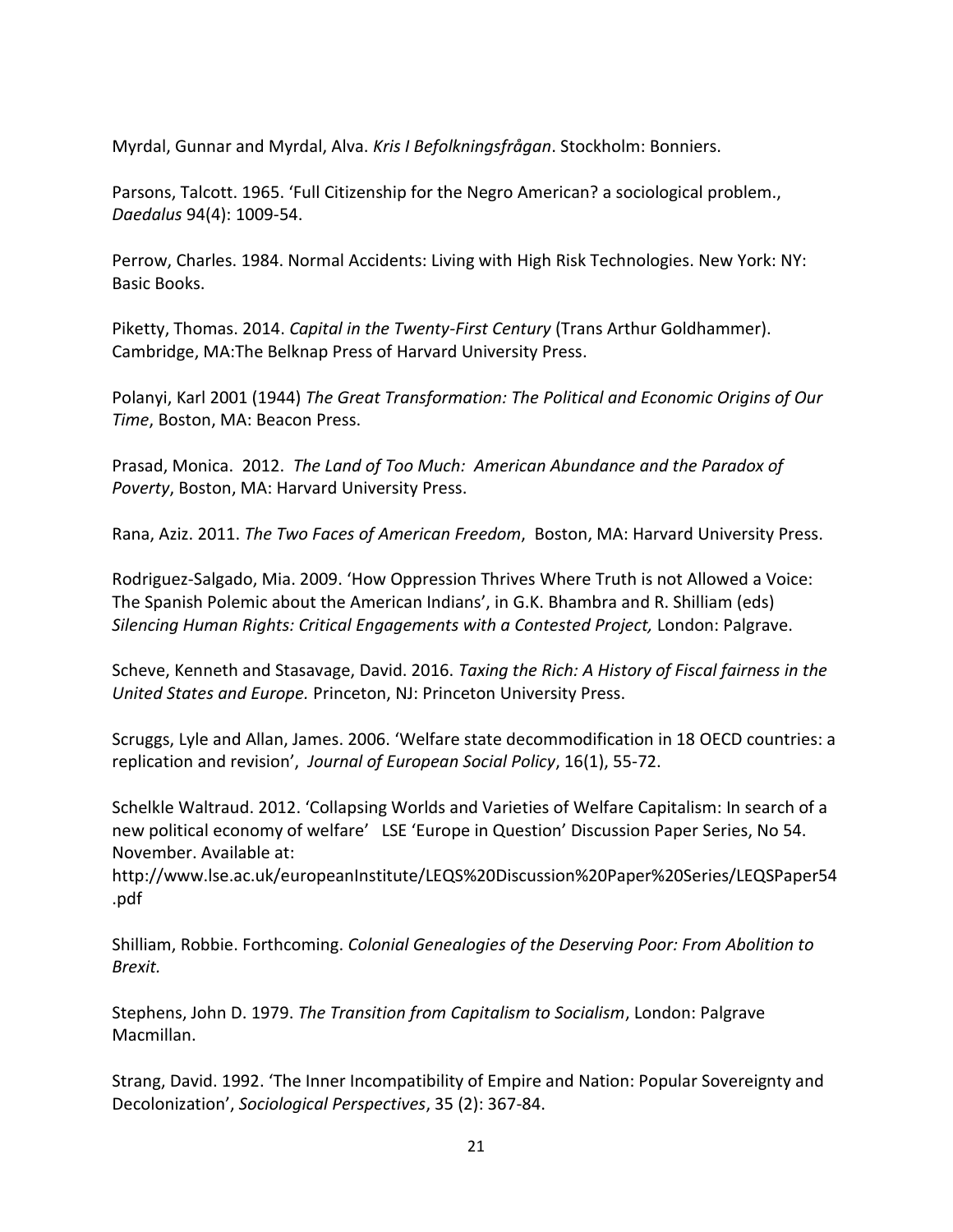Myrdal, Gunnar and Myrdal, Alva. *Kris I Befolkningsfrågan*. Stockholm: Bonniers.

Parsons, Talcott. 1965. 'Full Citizenship for the Negro American? a sociological problem., *Daedalus* 94(4): 1009-54.

Perrow, Charles. 1984. Normal Accidents: Living with High Risk Technologies. New York: NY: Basic Books.

Piketty, Thomas. 2014. *Capital in the Twenty-First Century* (Trans Arthur Goldhammer). Cambridge, MA:The Belknap Press of Harvard University Press.

Polanyi, Karl 2001 (1944) *The Great Transformation: The Political and Economic Origins of Our Time*, Boston, MA: Beacon Press.

Prasad, Monica. 2012. *The Land of Too Much: American Abundance and the Paradox of Poverty*, Boston, MA: Harvard University Press.

Rana, Aziz. 2011. *The Two Faces of American Freedom*, Boston, MA: Harvard University Press.

Rodriguez-Salgado, Mia. 2009. 'How Oppression Thrives Where Truth is not Allowed a Voice: The Spanish Polemic about the American Indians', in G.K. Bhambra and R. Shilliam (eds) *Silencing Human Rights: Critical Engagements with a Contested Project,* London: Palgrave.

Scheve, Kenneth and Stasavage, David. 2016. *Taxing the Rich: A History of Fiscal fairness in the United States and Europe.* Princeton, NJ: Princeton University Press.

Scruggs, Lyle and Allan, James. 2006. 'Welfare state decommodification in 18 OECD countries: a replication and revision', *Journal of European Social Policy*, 16(1), 55-72.

Schelkle Waltraud. 2012. 'Collapsing Worlds and Varieties of Welfare Capitalism: In search of a new political economy of welfare' LSE 'Europe in Question' Discussion Paper Series, No 54. November. Available at:

http://www.lse.ac.uk/europeanInstitute/LEQS%20Discussion%20Paper%20Series/LEQSPaper54 .pdf

Shilliam, Robbie. Forthcoming. *Colonial Genealogies of the Deserving Poor: From Abolition to Brexit.*

Stephens, John D. 1979. *The Transition from Capitalism to Socialism*, London: Palgrave Macmillan.

Strang, David. 1992. 'The Inner Incompatibility of Empire and Nation: Popular Sovereignty and Decolonization', *Sociological Perspectives*, 35 (2): 367-84.